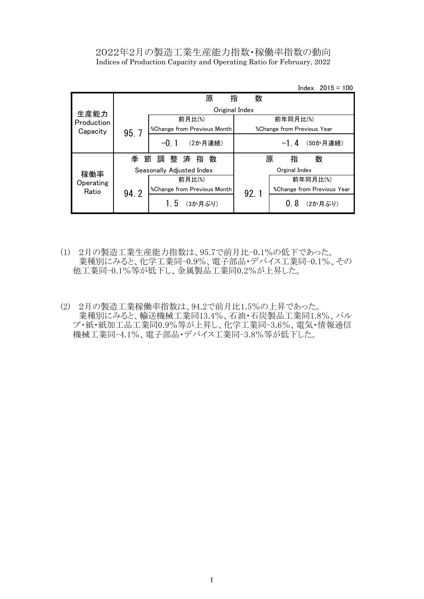# 2022年2月の製造工業生産能力指数・稼働率指数の動向 Indices of Production Capacity and Operating Ratio for February, 2022

Index. 2015 = 100

|            |        | 原                           | 数<br>指         |                                          |
|------------|--------|-----------------------------|----------------|------------------------------------------|
| 生産能力       |        |                             | Original Index |                                          |
| Production |        | 前月比(%)                      |                | 前年同月比(%)                                 |
| Capacity   | 95.7   | %Change from Previous Month |                | <i><b>%Change from Previous Year</b></i> |
|            |        | $-0.1$<br>(2か月連続)           |                | $-1.4$<br>(50か月連続)                       |
|            | 季<br>節 | 調整済指数                       |                | 指<br>数<br>原                              |
| 稼働率        |        | Seasonally Adjusted Index   |                | Orginal Index                            |
| Operating  |        | 前月比(%)                      |                | 前年同月比(%)                                 |
| Ratio      | 94.2   | %Change from Previous Month | 92.1           | %Change from Previous Year               |
|            |        | (3か月ぶり)<br>15               |                | 08<br>(2か月ぶり)                            |

- (1) 2月の製造工業生産能力指数は、95.7で前月比-0.1%の低下であった。 業種別にみると、化学工業同-0.9%、電子部品・デバイス工業同-0.1%、その 他工業同-0.1%等が低下し、金属製品工業同0.2%が上昇した。
- (2) 2月の製造工業稼働率指数は、94.2で前月比1.5%の上昇であった。 業種別にみると、輸送機械工業同13.4%、石油·石炭製品工業同1.8%、パル プ・紙・紙加工品工業同0.9%等が上昇し、化学工業同-3.6%、電気・情報通信 機械工業同-4.1%、電子部品・デバイス工業同-3.8%等が低下した。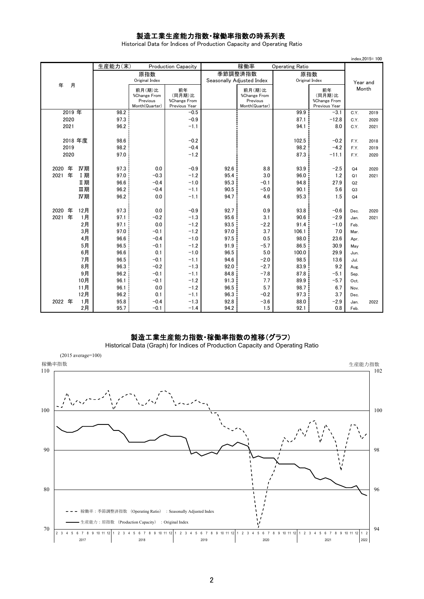# 製造工業生産能力指数・稼働率指数の時系列表

Historical Data for Indices of Production Capacity and Operating Ratio

|                  |         |                                                      |                                               |                           |                                                      |                        |                                               |                | index.2015=100 |
|------------------|---------|------------------------------------------------------|-----------------------------------------------|---------------------------|------------------------------------------------------|------------------------|-----------------------------------------------|----------------|----------------|
|                  | 生産能力(末) |                                                      | <b>Production Capacity</b>                    |                           | 稼働率                                                  | <b>Operating Ratio</b> |                                               |                |                |
|                  |         | 原指数                                                  |                                               |                           | 季節調整済指数                                              | 原指数                    |                                               |                |                |
|                  |         | Original Index                                       |                                               | Seasonally Adjusted Index |                                                      | Original Index         |                                               |                | Year and       |
| 月<br>年           |         | 前月(期)比<br>%Change From<br>Previous<br>Month(Quarter) | 前年<br>(同月期)比<br>%Change From<br>Previous Year |                           | 前月(期)比<br>%Change From<br>Previous<br>Month(Quarter) |                        | 前年<br>(同月期)比<br>%Change From<br>Previous Year |                | Month          |
| 2019 年           | 98.2    |                                                      | $-0.5$                                        |                           |                                                      | 99.9                   | $-3.1$                                        | C.Y.           | 2019           |
| 2020             | 97.3    |                                                      | $-0.9$                                        |                           |                                                      | 87.1                   | $-12.8$                                       | C.Y.           | 2020           |
| 2021             | 96.2    |                                                      | $-1.1$                                        |                           |                                                      | 94.1                   | 8.0                                           | C.Y.           | 2021           |
|                  |         |                                                      |                                               |                           |                                                      |                        |                                               |                |                |
| 2018 年度          | 98.6    |                                                      | $-0.2$                                        |                           |                                                      | 102.5                  | $-0.2$                                        | F.Y.           | 2018           |
| 2019             | 98.2    |                                                      | $-0.4$                                        |                           |                                                      | 98.2                   | $-4.2$                                        | F.Y.           | 2019           |
| 2020             | 97.0    |                                                      | $-1.2$                                        |                           |                                                      | 87.3                   | $-11.1$                                       | F.Y.           | 2020           |
|                  |         |                                                      |                                               |                           |                                                      |                        |                                               |                |                |
| 年<br>IV期<br>2020 | 97.3    | 0.0                                                  | $-0.9$                                        | 92.6                      | 8.8                                                  | 93.9                   | $-2.5$                                        | Q <sub>4</sub> | 2020           |
| 年<br>I期<br>2021  | 97.0    | $-0.3$                                               | $-1.2$                                        | 95.4                      | 3.0                                                  | 96.0                   | 1.2                                           | Q1             | 2021           |
| Ⅱ期               | 96.6    | $-0.4$                                               | $-1.0$                                        | 95.3                      | $-0.1$                                               | 94.8                   | 27.9                                          | Q2             |                |
| Ⅲ期               | 96.2    | $-0.4$                                               | $-1.1$                                        | 90.5                      | $-5.0$                                               | 90.1                   | 5.6                                           | Q3             |                |
| IV期              | 96.2    | 0.0                                                  | $-1.1$                                        | 94.7                      | 4.6                                                  | 95.3                   | 1.5                                           | Q <sub>4</sub> |                |
| 年<br>2020<br>12月 | 97.3    | 0.0                                                  | $-0.9$                                        | 92.7                      | 0.9                                                  | 93.8                   | $-0.6$                                        | Dec.           | 2020           |
| 年<br>2021<br>1月  | 97.1    | $-0.2$                                               | $-1.3$                                        | 95.6                      | 3.1                                                  | 90.6                   | $-2.9$                                        | Jan.           | 2021           |
| 2月               | 97.1    | 0.0                                                  | $-1.2$                                        | 93.5                      | $-2.2$                                               | 91.4                   | $-1.0$                                        | Feb.           |                |
| 3月               | 97.0    | $-0.1$                                               | $-1.2$                                        | 97.0                      | 3.7                                                  | 106.1                  | 7.0                                           | Mar.           |                |
| 4月               | 96.6    | $-0.4$                                               | $-1.0$                                        | 97.5                      | 0.5                                                  | 98.0                   | 23.6                                          | Apr.           |                |
| 5月               | 96.5    | $-0.1$                                               | $-1.2$                                        | 91.9                      | $-5.7$                                               | 86.5                   | 30.9                                          | May            |                |
| 6月               | 96.6    | 0.1                                                  | $-1.0$                                        | 96.5                      | 5.0                                                  | 100.0                  | 29.9                                          | Jun.           |                |
| 7月               | 96.5    | $-0.1$                                               | $-1.1$                                        | 94.6                      | $-2.0$                                               | 98.5                   | 13.6                                          | Jul.           |                |
| 8月               | 96.3    | $-0.2$                                               | $-1.3$                                        | 92.0                      | $-2.7$                                               | 83.9                   | 9.2                                           | Aug.           |                |
| 9月               | 96.2    | $-0.1$                                               | $-1.1$                                        | 84.8                      | $-7.8$                                               | 87.8                   | $-5.1$                                        | Sep.           |                |
| 10月              | 96.1    | $-0.1$                                               | $-1.2$                                        | 91.3                      | 7.7                                                  | 89.9                   | $-5.7$                                        | Oct.           |                |
| 11月              | 96.1    | 0.0                                                  | $-1.2$                                        | 96.5                      | 5.7                                                  | 98.7                   | 6.7                                           | Nov.           |                |
| 12月              | 96.2    | 0.1                                                  | $-1.1$                                        | 96.3                      | $-0.2$                                               | 97.3                   | 3.7                                           | Dec.           |                |
| 1月<br>2022 年     | 95.8    | $-0.4$                                               | $-1.3$                                        | 92.8                      | $-3.6$                                               | 88.0                   | $-2.9$                                        | Jan.           | 2022           |
| 2月               | 95.7    | $-0.1$                                               | $-1.4$                                        | 94.2                      | 1.5                                                  | 92.1                   | 0.8                                           | Feb.           |                |

## 製造工業生産能力指数・稼働率指数の推移(グラフ)

Historical Data (Graph) for Indices of Production Capacity and Operating Ratio

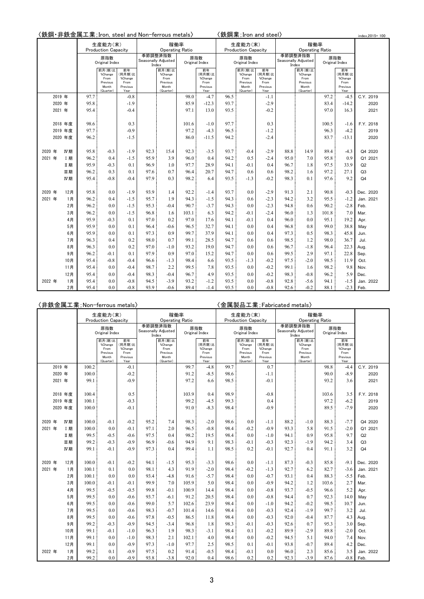| 〈鉄鋼・非鉄金属工業;Iron, steel and Non-ferrous metals〉 |  |  |  |
|------------------------------------------------|--|--|--|
|------------------------------------------------|--|--|--|

ls〉 〈鉄鋼業 ; Iron and steel〉

|        |           | 〈鉄鋼・非鉄金属工業;Iron, steel and Non-ferrous metals〉 |                            |                 |      |                                |       |                 |      | 〈鉄鋼業; Iron and steel〉      |                  |      |                                |       |                   | index.2015=100 |
|--------|-----------|------------------------------------------------|----------------------------|-----------------|------|--------------------------------|-------|-----------------|------|----------------------------|------------------|------|--------------------------------|-------|-------------------|----------------|
|        |           |                                                | 生産能力(末)                    |                 |      | 稼働率                            |       |                 |      | 生産能力(末)                    |                  |      |                                | 稼働率   |                   |                |
|        |           |                                                | <b>Production Capacity</b> |                 |      | <b>Operating Ratio</b>         |       |                 |      | <b>Production Capacity</b> |                  |      | <b>Operating Ratio</b>         |       |                   |                |
|        |           |                                                | 原指数                        |                 |      | 季節調整済指数<br>Seasonally Adjusted |       | 原指数             |      | 原指数                        |                  |      | 季節調整済指数<br>Seasonally Adjusted |       | 原指数               |                |
|        |           |                                                | Original Index             |                 |      | Index                          |       | Original Index  |      | Original Index             |                  |      | Index                          |       | Original Index    |                |
|        |           |                                                | 前月(期)比<br>%Change          | 前年<br>(同月期)比    |      | 前月(期)比<br>%Change              |       | 前年<br>(同月期)比    |      | 前月(期)比<br>%Change          | 前年<br>(同月期)比     |      | 前月(期)比<br>%Change              |       | 前年<br>(同月期)比      |                |
|        |           |                                                | From<br>Previous           | %Change<br>From |      | From<br>Previous               |       | %Change<br>From |      | From<br>Previous           | %Change<br>From  |      | From<br>Previous               |       | %Change<br>From   |                |
|        |           |                                                | Month                      | Previous        |      | Month                          |       | Previous        |      | Month                      | Previous         |      | Month                          |       | Previous          |                |
|        | 2019 年    | 97.7                                           | (Quarter)                  | Year<br>$-0.8$  |      | (Quarter)                      | 98.0  | Year<br>$-4.7$  | 96.5 | (Quarter)                  | Year             |      | (Quarter)                      | 97.2  | Year              | C.Y. 2019      |
|        | 2020 年    | 95.8                                           |                            | $-1.9$          |      |                                | 85.9  | $-12.3$         | 93.7 |                            | $-1.1$<br>$-2.9$ |      |                                | 83.4  | $-4.5$<br>$-14.2$ | 2020           |
|        |           | 95.4                                           |                            | $-0.4$          |      |                                | 97.1  | 13.0            |      |                            |                  |      |                                | 97.0  |                   |                |
|        | 2021 年    |                                                |                            |                 |      |                                |       |                 | 93.5 |                            | $-0.2$           |      |                                |       | 16.3              | 2021           |
|        | 2018 年度   | 98.6                                           |                            | 0.3             |      |                                | 101.6 | $-1.0$          | 97.7 |                            | 0.3              |      |                                | 100.5 | $-1.6$            | F.Y. 2018      |
|        | 2019 年度   | 97.7                                           |                            | $-0.9$          |      |                                | 97.2  | $-4.3$          | 96.5 |                            | $-1.2$           |      |                                | 96.3  | $-4.2$            | 2019           |
|        | 2020 年度   | 96.2                                           |                            | $-1.5$          |      |                                | 86.0  | $-11.5$         | 94.2 |                            | $-2.4$           |      |                                | 83.7  | $-13.1$           | 2020           |
|        |           |                                                |                            |                 |      |                                |       |                 |      |                            |                  |      |                                |       |                   |                |
| 2020 年 | IV期       | 95.8                                           | $-0.3$                     | $-1.9$          | 92.3 | 15.4                           | 92.3  | $-3.5$          | 93.7 | $-0.4$                     | $-2.9$           | 88.8 | 14.9                           | 89.4  | $-4.3$            | Q4 2020        |
| 2021 年 | <b>I期</b> | 96.2                                           | 0.4                        | $-1.5$          | 95.9 | 3.9                            | 96.0  | 0.4             | 94.2 | 0.5                        | $-2.4$           | 95.0 | 7.0                            | 95.8  | 0.9               | Q1 2021        |
|        | Ⅱ期        | 95.9                                           | $-0.3$                     | 0.1             | 96.9 | 1.0                            | 97.7  | 28.9            | 94.1 | $-0.1$                     | 0.4              | 96.7 | 1.8                            | 97.5  | 33.9              | Q2             |
|        | 皿期        | 96.2                                           | 0.3                        | 0.1             | 97.6 | 0.7                            | 96.4  | 20.7            | 94.7 | 0.6                        | 0.6              | 98.2 | 1.6                            | 97.2  | 27.1              | Q <sub>3</sub> |
|        | IV期       | 95.4                                           | $-0.8$                     | $-0.4$          | 97.9 | 0.3                            | 98.2  | 6.4             | 93.5 | $-1.3$                     | $-0.2$           | 98.3 | 0.1                            | 97.6  | 9.2               | Q <sub>4</sub> |
|        |           |                                                |                            |                 |      |                                |       |                 |      |                            |                  |      |                                |       |                   |                |
| 2020 年 | 12月       | 95.8                                           | 0.0                        | $-1.9$          | 93.9 | 1.4                            | 92.2  | $-1.4$          | 93.7 | 0.0                        | $-2.9$           | 91.3 | 2.1                            | 90.8  | $-0.3$            | Dec. 2020      |
| 2021 年 | 1月        | 96.2                                           | 0.4                        | $-1.5$          | 95.7 | 1.9                            | 94.3  | $-1.5$          | 94.3 | 0.6                        | $-2.3$           | 94.2 | 3.2                            | 95.5  | $-1.2$            | Jan. 2021      |
|        | 2月        | 96.2                                           | 0.0                        | $-1.5$          | 95.3 | $-0.4$                         | 90.7  | $-3.7$          | 94.3 | 0.0                        | $-2.3$           | 94.8 | 0.6                            | 90.2  | $-2.8$            | Feb.           |
|        | 3月        | 96.2                                           | 0.0                        | $-1.5$          | 96.8 | 1.6                            | 103.1 | 6.3             | 94.2 | $-0.1$                     | $-2.4$           | 96.0 | 1.3                            | 101.8 | 7.0               | Mar.           |
|        | 4月        | 95.9                                           | $-0.3$                     | 0.1             | 97.0 | 0.2                            | 97.0  | 17.6            | 94.1 | $-0.1$                     | 0.4              | 96.0 | 0.0                            | 95.1  | 19.2              | Apr.           |
|        | 5月        | 95.9                                           | 0.0                        | 0.1             | 96.4 | $-0.6$                         | 96.5  | 32.7            | 94.1 | 0.0                        | 0.4              | 96.8 | 0.8                            | 99.0  | 38.8              | May            |
|        | 6月        | 95.9                                           | 0.0                        | 0.1             | 97.3 | 0.9                            | 99.7  | 37.9            | 94.1 | 0.0                        | 0.4              | 97.3 | 0.5                            | 98.3  | 45.8              | Jun.           |
|        | 7月        | 96.3                                           | 0.4                        | 0.2             | 98.0 | 0.7                            | 99.1  | 28.5            | 94.7 | 0.6                        | 0.6              | 98.5 | 1.2                            | 98.0  | 36.7              | Jul.           |
|        | 8月        | 96.3                                           | 0.0                        | 0.2             | 97.0 | $-1.0$                         | 93.2  | 19.0            | 94.7 | 0.0                        | 0.6              | 96.7 | $-1.8$                         | 96.4  | 22.3              | Aug.           |
|        | 9月        | 96.2                                           | $-0.1$                     | 0.1             | 97.9 | 0.9                            | 97.0  | 15.2            | 94.7 | 0.0                        | 0.6              | 99.5 | 2.9                            | 97.1  | 22.8              | Sep.           |
|        | 10月       | 95.4                                           | $-0.8$                     | $-0.4$          | 96.6 | $-1.3$                         | 98.4  | 6.6             | 93.5 | $-1.3$                     | $-0.2$           | 97.5 | $-2.0$                         | 98.5  | 11.9              | Oct.           |
|        | 11月       | 95.4                                           | 0.0                        | $-0.4$          | 98.7 | 2.2                            | 99.5  | 7.8             | 93.5 | 0.0                        | $-0.2$           | 99.1 | 1.6                            | 98.2  | 9.8               | Nov.           |
|        | 12月       | 95.4                                           | 0.0                        | $-0.4$          | 98.3 | $-0.4$                         | 96.7  | 4.9             | 93.5 | 0.0                        | $-0.2$           | 98.3 | $-0.8$                         | 96.2  | 5.9               | Dec.           |
| 2022 年 | 1月        | 95.4                                           | 0.0                        | $-0.8$          | 94.5 | $-3.9$                         | 93.2  | $-1.2$          | 93.5 | 0.0                        | $-0.8$           | 92.8 | $-5.6$                         | 94.1  | $-1.5$            | Jan. 2022      |
|        | 2月        | 95.4                                           | 0.0                        | $-0.8$          | 93.9 | $-0.6$                         | 89.4  | $-1.4$          | 93.5 | 0.0                        | $-0.8$           | 92.6 | $-0.2$                         | 88.1  | $-2.3$            | Feb.           |

|        |        |            |       | 〈非鉄金属工業;Non-ferrous metals〉                                 |                                                     |       |                                                             |       |                                                     |      | {金属製品工業; Fabricated metals〉                                 |                                                     |      |                                                             |       |                                                     |                |
|--------|--------|------------|-------|-------------------------------------------------------------|-----------------------------------------------------|-------|-------------------------------------------------------------|-------|-----------------------------------------------------|------|-------------------------------------------------------------|-----------------------------------------------------|------|-------------------------------------------------------------|-------|-----------------------------------------------------|----------------|
|        |        |            |       | 生産能力(末)                                                     |                                                     |       | 稼働率                                                         |       |                                                     |      | 生産能力(末)                                                     |                                                     |      | 稼働率                                                         |       |                                                     |                |
|        |        |            |       | <b>Production Capacity</b>                                  |                                                     |       | <b>Operating Ratio</b>                                      |       |                                                     |      | <b>Production Capacity</b>                                  |                                                     |      | <b>Operating Ratio</b>                                      |       |                                                     |                |
|        |        |            |       | 原指数<br>Original Index                                       |                                                     | Index | 季節調整済指数<br>Seasonally Adjusted                              |       | 原指数<br>Original Index                               |      | 原指数<br>Original Index                                       |                                                     |      | 季節調整済指数<br>Seasonally Adjusted<br>Index                     |       | 原指数<br>Original Index                               |                |
|        |        |            |       | 前月(期)比<br>%Change<br>From<br>Previous<br>Month<br>(Quarter) | 前年<br>(同月期)比<br>%Change<br>From<br>Previous<br>Year |       | 前月(期)比<br>%Change<br>From<br>Previous<br>Month<br>(Quarter) |       | 前年<br>(同月期)比<br>%Change<br>From<br>Previous<br>Year |      | 前月(期)比<br>%Change<br>From<br>Previous<br>Month<br>(Quarter) | 前年<br>(同月期)比<br>%Change<br>From<br>Previous<br>Year |      | 前月(期)比<br>%Change<br>From<br>Previous<br>Month<br>(Quarter) |       | 前年<br>(同月期)比<br>%Change<br>From<br>Previous<br>Year |                |
|        | 2019 年 |            | 100.2 |                                                             | $-0.1$                                              |       |                                                             | 99.7  | $-4.8$                                              | 99.7 |                                                             | 0.7                                                 |      |                                                             | 98.8  | -4.4                                                | C.Y. 2019      |
|        | 2020 年 |            | 100.0 |                                                             | $-0.2$                                              |       |                                                             | 91.2  | $-8.5$                                              | 98.6 |                                                             | $-1.1$                                              |      |                                                             | 90.0  | $-8.9$                                              | 2020           |
|        | 2021 年 |            | 99.1  |                                                             | $-0.9$                                              |       |                                                             | 97.2  | 6.6                                                 | 98.5 |                                                             | $-0.1$                                              |      |                                                             | 93.2  | 3.6                                                 | 2021           |
|        |        |            |       |                                                             |                                                     |       |                                                             |       |                                                     |      |                                                             |                                                     |      |                                                             |       |                                                     |                |
|        |        | 2018 年度    | 100.4 |                                                             | 0.5                                                 |       |                                                             | 103.9 | 0.4                                                 | 98.9 |                                                             | $-0.8$                                              |      |                                                             | 103.6 | 3.5                                                 | F.Y. 2018      |
|        |        | 2019 年度    | 100.1 |                                                             | $-0.3$                                              |       |                                                             | 99.2  | $-4.5$                                              | 99.3 |                                                             | 0.4                                                 |      |                                                             | 97.2  | $-6.2$                                              | 2019           |
|        |        | 2020 年度    | 100.0 |                                                             | $-0.1$                                              |       |                                                             | 91.0  | $-8.3$                                              | 98.4 |                                                             | $-0.9$                                              |      |                                                             | 89.5  | $-7.9$                                              | 2020           |
|        |        |            |       |                                                             |                                                     |       |                                                             |       |                                                     |      |                                                             |                                                     |      |                                                             |       |                                                     |                |
| 2020 年 |        | <b>N 期</b> | 100.0 | $-0.1$                                                      | $-0.2$                                              | 95.2  | 7.4                                                         | 98.3  | $-2.0$                                              | 98.6 | 0.0                                                         | $-1.1$                                              | 88.2 | $-1.0$                                                      | 88.3  | $-7.7$                                              | Q4 2020        |
| 2021 年 |        | I 期        | 100.0 | 0.0                                                         | $-0.1$                                              | 97.1  | 2.0                                                         | 96.5  | $-0.8$                                              | 98.4 | $-0.2$                                                      | $-0.9$                                              | 93.3 | 5.8                                                         | 91.5  | $-2.0$                                              | Q1 2021        |
|        |        | Ⅱ期         | 99.5  | $-0.5$                                                      | $-0.6$                                              | 97.5  | 0.4                                                         | 98.2  | 19.5                                                | 98.4 | 0.0                                                         | $-1.0$                                              | 94.1 | 0.9                                                         | 95.8  | 9.7                                                 | Q2             |
|        |        | 皿期         | 99.2  | $-0.3$                                                      | $-0.9$                                              | 96.9  | $-0.6$                                                      | 94.9  | 9.1                                                 | 98.3 | $-0.1$                                                      | $-0.3$                                              | 92.3 | $-1.9$                                                      | 94.2  | 3.4                                                 | Q <sub>3</sub> |
|        |        | IV期        | 99.1  | $-0.1$                                                      | $-0.9$                                              | 97.3  | 0.4                                                         | 99.4  | 1.1                                                 | 98.5 | 0.2                                                         | $-0.1$                                              | 92.7 | 0.4                                                         | 91.1  | 3.2                                                 | Q <sub>4</sub> |
|        |        |            |       |                                                             |                                                     |       |                                                             |       |                                                     |      |                                                             |                                                     |      |                                                             |       |                                                     |                |
| 2020 年 |        | 12月        | 100.0 | $-0.1$                                                      | $-0.2$                                              | 94.1  | $-1.5$                                                      | 95.3  | $-3.3$                                              | 98.6 | 0.0                                                         | $-1.1$                                              | 87.3 | $-0.3$                                                      | 85.8  | $-9.1$                                              | Dec. 2020      |
| 2021 年 |        | 1月         | 100.1 | 0.1                                                         | 0.0                                                 | 98.1  | 4.3                                                         | 91.9  | $-2.0$                                              | 98.4 | $-0.2$                                                      | $-1.3$                                              | 92.7 | 6.2                                                         | 82.7  | $-3.6$                                              | Jan. 2021      |
|        |        | 2月         | 100.1 | 0.0                                                         | 0.0                                                 | 93.4  | $-4.8$                                                      | 91.6  | $-5.7$                                              | 98.4 | 0.0                                                         | $-0.7$                                              | 93.1 | 0.4                                                         | 88.3  | $-5.5$                                              | Feb.           |
|        |        | 3月         | 100.0 | $-0.1$                                                      | $-0.1$                                              | 99.9  | 7.0                                                         | 105.9 | 5.0                                                 | 98.4 | 0.0                                                         | $-0.9$                                              | 94.2 | 1.2                                                         | 103.6 | 2.7                                                 | Mar.           |
|        |        | 4月         | 99.5  | $-0.5$                                                      | $-0.5$                                              | 99.8  | $-0.1$                                                      | 100.9 | 14.4                                                | 98.4 | 0.0                                                         | $-0.8$                                              | 93.7 | $-0.5$                                                      | 96.6  | 5.2                                                 | Apr.           |
|        |        | 5月         | 99.5  | 0.0                                                         | $-0.6$                                              | 93.7  | $-6.1$                                                      | 91.2  | 20.5                                                | 98.4 | 0.0                                                         | $-0.8$                                              | 94.4 | 0.7                                                         | 92.3  | 14.0                                                | May            |
|        |        | 6月         | 99.5  | 0.0                                                         | $-0.6$                                              | 99.0  | 5.7                                                         | 102.6 | 23.9                                                | 98.4 | 0.0                                                         | $-1.0$                                              | 94.2 | $-0.2$                                                      | 98.5  | 10.7                                                | Jun.           |
|        |        | 7月         | 99.5  | 0.0                                                         | $-0.6$                                              | 98.3  | $-0.7$                                                      | 101.4 | 14.6                                                | 98.4 | 0.0                                                         | $-0.3$                                              | 92.4 | $-1.9$                                                      | 99.7  | 3.2                                                 | Jul.           |
|        |        | 8月         | 99.5  | 0.0                                                         | $-0.6$                                              | 97.8  | $-0.5$                                                      | 86.5  | 11.8                                                | 98.4 | 0.0                                                         | $-0.3$                                              | 92.0 | $-0.4$                                                      | 87.7  | 4.3                                                 | Aug.           |
|        |        | 9月         | 99.2  | $-0.3$                                                      | $-0.9$                                              | 94.5  | $-3.4$                                                      | 96.8  | 1.8                                                 | 98.3 | $-0.1$                                                      | $-0.3$                                              | 92.6 | 0.7                                                         | 95.3  | 3.0                                                 | Sep.           |
|        |        | 10月        | 99.1  | $-0.1$                                                      | $-1.0$                                              | 96.3  | 1.9                                                         | 98.3  | $-3.1$                                              | 98.4 | 0.1                                                         | $-0.2$                                              | 89.9 | $-2.9$                                                      | 89.8  | $-2.0$                                              | Oct.           |
|        |        | 11月        | 99.1  | 0.0                                                         | $-1.0$                                              | 98.3  | 2.1                                                         | 102.1 | 4.0                                                 | 98.4 | 0.0                                                         | $-0.2$                                              | 94.5 | 5.1                                                         | 94.0  | 7.4                                                 | Nov.           |
|        |        | 12月        | 99.1  | 0.0                                                         | $-0.9$                                              | 97.3  | $-1.0$                                                      | 97.7  | 2.5                                                 | 98.5 | 0.1                                                         | $-0.1$                                              | 93.8 | $-0.7$                                                      | 89.4  | 4.2                                                 | Dec.           |
| 2022 年 |        | 1月         | 99.2  | 0.1                                                         | $-0.9$                                              | 97.5  | 0.2                                                         | 91.4  | $-0.5$                                              | 98.4 | $-0.1$                                                      | 0.0                                                 | 96.0 | 2.3                                                         | 85.6  | 3.5                                                 | Jan. 2022      |
|        |        | 2月         | 99.2  | 0.0                                                         | $-0.9$                                              | 93.8  | $-3.8$                                                      | 92.0  | 0.4                                                 | 98.6 | 0.2                                                         | 0.2                                                 | 92.3 | $-3.9$                                                      | 87.6  | $-0.8$                                              | Feb.           |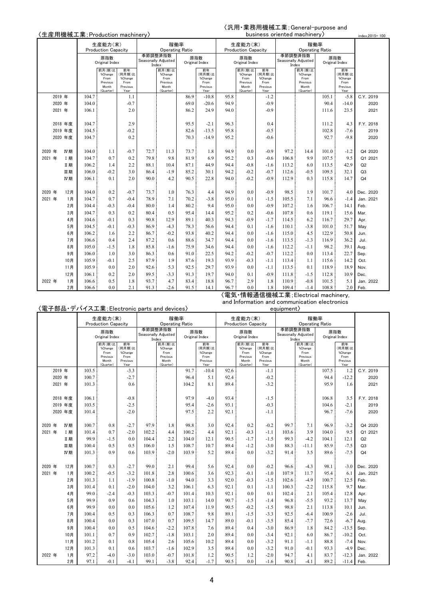#### 〈汎用・業務用機械工業;General-purpose and business oriented machinery〉

|        |        |         | 〈生産用機械工業;Production machinery〉 |                            |                  |       |                                |      |                       |      |                            |                  | business oriented machinery |                                |       |                       | index.2015=100 |
|--------|--------|---------|--------------------------------|----------------------------|------------------|-------|--------------------------------|------|-----------------------|------|----------------------------|------------------|-----------------------------|--------------------------------|-------|-----------------------|----------------|
|        |        |         |                                | 生産能力(末)                    |                  |       | 稼働率                            |      |                       |      | 生産能力(末)                    |                  |                             | 稼働率                            |       |                       |                |
|        |        |         |                                | <b>Production Capacity</b> |                  |       | <b>Operating Ratio</b>         |      |                       |      | <b>Production Capacity</b> |                  |                             | <b>Operating Ratio</b>         |       |                       |                |
|        |        |         |                                | 原指数<br>Original Index      |                  |       | 季節調整済指数<br>Seasonally Adjusted |      | 原指数<br>Original Index |      | 原指数<br>Original Index      |                  |                             | 季節調整済指数<br>Seasonally Adjusted |       | 原指数<br>Original Index |                |
|        |        |         |                                | 前月(期)比                     | 前年               | Index | 前月(期)比                         |      | 前年                    |      | 前月(期)比                     | 前年               |                             | Index<br>前月(期)比                |       | 前年                    |                |
|        |        |         |                                | %Change                    | (同月期)比           |       | %Change                        |      | (同月期)比                |      | % Change                   | (同月期)比           |                             | %Change                        |       | (同月期)比                |                |
|        |        |         |                                | From<br>Previous           | %Change<br>From  |       | From<br>Previous               |      | %Change<br>From       |      | From<br>Previous           | %Change<br>From  |                             | From<br>Previous               |       | %Change<br>From       |                |
|        |        |         |                                | Month<br>(Quarter)         | Previous<br>Year |       | Month<br>(Quarter)             |      | Previous<br>Year      |      | Month<br>(Quarter)         | Previous<br>Year |                             | Month<br>(Quarter)             |       | Previous<br>Year      |                |
|        | 2019 年 |         | 104.7                          |                            | 1.1              |       |                                | 86.9 | $-10.8$               | 95.8 |                            | $-1.2$           |                             |                                | 105.1 | $-5.8$                | C.Y. 2019      |
|        | 2020 年 |         | 104.0                          |                            | $-0.7$           |       |                                | 69.0 | $-20.6$               | 94.9 |                            | $-0.9$           |                             |                                | 90.4  | $-14.0$               | 2020           |
|        | 2021 年 |         | 106.1                          |                            | 2.0              |       |                                | 86.2 | 24.9                  | 94.0 |                            | $-0.9$           |                             |                                | 111.6 | 23.5                  | 2021           |
|        |        |         |                                |                            |                  |       |                                |      |                       |      |                            |                  |                             |                                |       |                       |                |
|        |        | 2018 年度 | 104.7                          |                            | 2.9              |       |                                | 95.5 | $-2.1$                | 96.3 |                            | 0.4              |                             |                                | 111.2 | 4.3                   | F.Y. 2018      |
|        |        | 2019 年度 | 104.5                          |                            | $-0.2$           |       |                                | 82.6 | $-13.5$               | 95.8 |                            | $-0.5$           |                             |                                | 102.8 | $-7.6$                | 2019           |
|        |        | 2020 年度 | 104.7                          |                            | 0.2              |       |                                | 70.3 | $-14.9$               | 95.2 |                            | $-0.6$           |                             |                                | 92.7  | $-9.8$                | 2020           |
|        |        |         |                                |                            |                  |       |                                |      |                       |      |                            |                  |                             |                                |       |                       |                |
| 2020 年 |        | IV期     | 104.0                          | 1.1                        | $-0.7$           | 72.7  | 11.3                           | 73.7 | 1.8                   | 94.9 | 0.0                        | $-0.9$           | 97.2                        | 14.4                           | 101.0 | $-1.2$                | Q4 2020        |
| 2021 年 |        | I 期     | 104.7                          | 0.7                        | 0.2              | 79.8  | 9.8                            | 81.9 | 6.9                   | 95.2 | 0.3                        | $-0.6$           | 106.8                       | 9.9                            | 107.5 | 9.5                   | Q1 2021        |
|        |        | Ⅱ期      | 106.2                          | 1.4                        | 2.2              | 88.1  | 10.4                           | 87.1 | 44.9                  | 94.4 | $-0.8$                     | $-1.6$           | 113.2                       | 6.0                            | 113.5 | 42.9                  | Q2             |
|        |        | 皿期      | 106.0                          | $-0.2$                     | 3.0              | 86.4  | $-1.9$                         | 85.2 | 30.1                  | 94.2 | $-0.2$                     | $-0.7$           | 112.6                       | $-0.5$                         | 109.5 | 32.1                  | Q <sub>3</sub> |
|        |        | IV期     | 106.1                          | 0.1                        | 2.0              | 90.0  | 4.2                            | 90.5 | 22.8                  | 94.0 | $-0.2$                     | $-0.9$           | 112.9                       | 0.3                            | 115.8 | 14.7                  | Q <sub>4</sub> |
|        |        |         |                                |                            |                  |       |                                |      |                       |      |                            |                  |                             |                                |       |                       |                |
| 2020 年 |        | 12月     | 104.0                          | 0.2                        | $-0.7$           | 73.7  | 1.0                            | 76.3 | 4.4                   | 94.9 | 0.0                        | $-0.9$           | 98.5                        | 1.9                            | 101.7 | 4.0                   | Dec. 2020      |
| 2021 年 |        | 1月      | 104.7                          | 0.7                        | $-0.4$           | 78.9  | 7.1                            | 70.2 | $-3.8$                | 95.0 | 0.1                        | $-1.5$           | 105.5                       | 7.1                            | 96.6  | $-1.4$                | Jan. 2021      |
|        |        | 2月      | 104.4                          | $-0.3$                     | $-0.4$           | 80.0  | 1.4                            | 80.2 | 9.4                   | 95.0 | 0.0                        | $-0.9$           | 107.2                       | 1.6                            | 106.7 | 14.1                  | Feb.           |
|        |        | 3月      | 104.7                          | 0.3                        | 0.2              | 80.4  | 0.5                            | 95.4 | 14.4                  | 95.2 | 0.2                        | $-0.6$           | 107.8                       | 0.6                            | 119.1 | 15.6                  | Mar.           |
|        |        | 4月      | 104.6                          | $-0.1$                     | 0.3              | 90.8  | 12.9                           | 89.1 | 40.3                  | 94.3 | $-0.9$                     | $-1.7$           | 114.5                       | 6.2                            | 116.7 | 29.7                  | Apr.           |
|        |        | 5月      | 104.5                          | $-0.1$                     | $-0.3$           | 86.9  | $-4.3$                         | 78.3 | 56.6                  | 94.4 | 0.1                        | $-1.6$           | 110.1                       | $-3.8$                         | 101.0 | 51.7                  | May            |
|        |        | 6月      | 106.2                          | 1.6                        | 2.2              | 86.7  | $-0.2$                         | 93.8 | 40.2                  | 94.4 | 0.0                        | $-1.6$           | 115.0                       | 4.5                            | 122.9 | 50.8                  | Jun.           |
|        |        | 7月      | 106.6                          | 0.4                        | 2.4              | 87.2  | 0.6                            | 88.6 | 34.7                  | 94.4 | 0.0                        | $-1.6$           | 113.5                       | $-1.3$                         | 116.9 | 36.2                  | Jul.           |
|        |        | 8月      | 105.0                          | $-1.5$                     | 1.8              | 85.8  | $-1.6$                         | 75.9 | 34.6                  | 94.4 | 0.0                        | $-1.6$           | 112.2                       | $-1.1$                         | 98.2  | 39.1                  | Aug.           |
|        |        | 9月      | 106.0                          | 1.0                        | 3.0              | 86.3  | 0.6                            | 91.0 | 22.5                  | 94.2 | $-0.2$                     | $-0.7$           | 112.2                       | 0.0                            | 113.4 | 22.7                  | Sep.           |
|        |        | 10月     | 105.9                          | $-0.1$                     | 2.5              | 87.9  | 1.9                            | 87.6 | 19.3                  | 93.9 | $-0.3$                     | $-1.1$           | 113.4                       | 1.1                            | 115.6 | 14.2                  | Oct.           |
|        |        | 11月     | 105.9                          | 0.0                        | 2.0              | 92.6  | 5.3                            | 92.5 | 29.7                  | 93.9 | 0.0                        | $-1.1$           | 113.5                       | 0.1                            | 118.9 | 18.9                  | Nov.           |
|        |        | 12月     | 106.1                          | 0.2                        | 2.0              | 89.5  | $-3.3$                         | 91.3 | 19.7                  | 94.0 | 0.1                        | $-0.9$           | 111.8                       | $-1.5$                         | 112.8 | 10.9                  | Dec.           |
| 2022 年 |        | 1月      | 106.6                          | 0.5                        | 1.8              | 93.7  | 4.7                            | 83.4 | 18.8                  | 96.7 | 2.9                        | 1.8              | 110.9                       | $-0.8$                         | 101.5 | 5.1                   | Jan. 2022      |
|        |        | 2月      | 106.6                          | 0.0                        | 2.1              | 91.3  | $-2.6$                         | 91.5 | 14.1                  | 96.7 | 0.0                        | 1.8              | 109.4                       | $-1.4$                         | 108.8 | 2.0                   | Feb.           |

#### 〈電気・情報通信機械工業;Electrical machinery, and Information and communication electronics

#### equipment〉

|        |         |    |       | 生産能力(末)<br><b>Production Capacity</b>                       |                                                     |       | 稼働率<br><b>Operating Ratio</b>                               |       |                                                     |      | 生産能力(末)<br><b>Production Capacity</b>                       |                                                     |       | 稼働率<br><b>Operating Ratio</b>                               |       |                                                     |                |
|--------|---------|----|-------|-------------------------------------------------------------|-----------------------------------------------------|-------|-------------------------------------------------------------|-------|-----------------------------------------------------|------|-------------------------------------------------------------|-----------------------------------------------------|-------|-------------------------------------------------------------|-------|-----------------------------------------------------|----------------|
|        |         |    |       | 原指数<br>Original Index                                       |                                                     | Index | 季節調整済指数<br>Seasonally Adjusted                              |       | 原指数<br>Original Index                               |      | 原指数<br>Original Index                                       |                                                     |       | 季節調整済指数<br>Seasonally Adjusted<br>Index                     |       | 原指数<br>Original Index                               |                |
|        |         |    |       | 前月(期)比<br>%Change<br>From<br>Previous<br>Month<br>(Quarter) | 前年<br>(同月期)比<br>%Change<br>From<br>Previous<br>Year |       | 前月(期)比<br>%Change<br>From<br>Previous<br>Month<br>(Quarter) |       | 前年<br>(同月期)比<br>%Change<br>From<br>Previous<br>Year |      | 前月(期)比<br>%Change<br>From<br>Previous<br>Month<br>(Quarter) | 前年<br>(同月期)比<br>%Change<br>From<br>Previous<br>Year |       | 前月(期)比<br>%Change<br>From<br>Previous<br>Month<br>(Quarter) |       | 前年<br>(同月期)比<br>%Change<br>From<br>Previous<br>Year |                |
|        | 2019 年  |    | 103.5 |                                                             | $-3.3$                                              |       |                                                             | 91.7  | $-10.4$                                             | 92.6 |                                                             | $-1.1$                                              |       |                                                             | 107.5 | 1.2                                                 | C.Y. 2019      |
|        | 2020 年  |    | 100.7 |                                                             | $-2.7$                                              |       |                                                             | 96.4  | 5.1                                                 | 92.4 |                                                             | $-0.2$                                              |       |                                                             | 94.4  | $-12.2$                                             | 2020           |
|        | 2021 年  |    | 101.3 |                                                             | 0.6                                                 |       |                                                             | 104.2 | 8.1                                                 | 89.4 |                                                             | $-3.2$                                              |       |                                                             | 95.9  | 1.6                                                 | 2021           |
|        |         |    |       |                                                             |                                                     |       |                                                             |       |                                                     |      |                                                             |                                                     |       |                                                             |       |                                                     |                |
|        | 2018 年度 |    | 106.1 |                                                             | $-0.8$                                              |       |                                                             | 97.9  | $-4.0$                                              | 93.4 |                                                             | $-1.5$                                              |       |                                                             | 106.8 | 3.5                                                 | F.Y. 2018      |
|        | 2019 年度 |    | 103.5 |                                                             | $-2.5$                                              |       |                                                             | 95.4  | $-2.6$                                              | 93.1 |                                                             | $-0.3$                                              |       |                                                             | 104.6 | $-2.1$                                              | 2019           |
|        | 2020 年度 |    | 101.4 |                                                             | $-2.0$                                              |       |                                                             | 97.5  | 2.2                                                 | 92.1 |                                                             | $-1.1$                                              |       |                                                             | 96.7  | $-7.6$                                              | 2020           |
|        |         |    |       |                                                             |                                                     |       |                                                             |       |                                                     |      |                                                             |                                                     |       |                                                             |       |                                                     |                |
| 2020 年 | IV期     |    | 100.7 | 0.8                                                         | $-2.7$                                              | 97.9  | 1.8                                                         | 98.8  | 3.0                                                 | 92.4 | 0.2                                                         | $-0.2$                                              | 99.7  | 7.1                                                         | 96.9  | $-3.2$                                              | Q4 2020        |
| 2021 年 | I 期     |    | 101.4 | 0.7                                                         | $-2.0$                                              | 102.2 | 4.4                                                         | 100.2 | 4.4                                                 | 92.1 | $-0.3$                                                      | $-1.1$                                              | 103.6 | 3.9                                                         | 104.0 | 9.5                                                 | Q1 2021        |
|        | Ⅱ期      |    | 99.9  | $-1.5$                                                      | 0.0                                                 | 104.4 | 2.2                                                         | 104.0 | 12.1                                                | 90.5 | $-1.7$                                                      | $-1.5$                                              | 99.3  | $-4.2$                                                      | 104.1 | 12.1                                                | Q2             |
|        | 皿期      |    | 100.4 | 0.5                                                         | 0.5                                                 | 106.0 | 1.5                                                         | 108.7 | 10.7                                                | 89.4 | $-1.2$                                                      | $-3.0$                                              | 88.3  | $-11.1$                                                     | 85.9  | $-7.5$                                              | Q3             |
|        | IV期     |    | 101.3 | 0.9                                                         | 0.6                                                 | 103.9 | $-2.0$                                                      | 103.9 | 5.2                                                 | 89.4 | 0.0                                                         | $-3.2$                                              | 91.4  | 3.5                                                         | 89.6  | $-7.5$                                              | Q <sub>4</sub> |
|        |         |    |       |                                                             |                                                     |       |                                                             |       |                                                     |      |                                                             |                                                     |       |                                                             |       |                                                     |                |
| 2020 年 | 12月     |    | 100.7 | 0.3                                                         | $-2.7$                                              | 99.0  | 2.1                                                         | 99.4  | 5.6                                                 | 92.4 | 0.0                                                         | $-0.2$                                              | 96.6  | $-4.3$                                                      | 98.1  | $-3.0$                                              | Dec. 2020      |
| 2021 年 |         | 1月 | 100.2 | $-0.5$                                                      | $-3.2$                                              | 101.8 | 2.8                                                         | 100.6 | 3.6                                                 | 92.3 | $-0.1$                                                      | $-1.0$                                              | 107.9 | 11.7                                                        | 95.4  | 6.1                                                 | Jan. 2021      |
|        |         | 2月 | 101.3 | 1.1                                                         | $-1.9$                                              | 100.8 | $-1.0$                                                      | 94.0  | 3.3                                                 | 92.0 | $-0.3$                                                      | $-1.5$                                              | 102.6 | $-4.9$                                                      | 100.7 | 12.5                                                | Feb.           |
|        |         | 3月 | 101.4 | 0.1                                                         | $-2.0$                                              | 104.0 | 3.2                                                         | 106.1 | 6.3                                                 | 92.1 | 0.1                                                         | $-1.1$                                              | 100.3 | $-2.2$                                                      | 115.8 | 9.7                                                 | Mar.           |
|        |         | 4月 | 99.0  | $-2.4$                                                      | $-0.3$                                              | 103.3 | $-0.7$                                                      | 101.4 | 10.3                                                | 92.1 | 0.0                                                         | 0.1                                                 | 102.4 | 2.1                                                         | 105.4 | 12.8                                                | Apr.           |
|        |         | 5月 | 99.9  | 0.9                                                         | 0.6                                                 | 104.3 | 1.0                                                         | 103.1 | 14.0                                                | 90.7 | $-1.5$                                                      | $-1.4$                                              | 96.8  | $-5.5$                                                      | 93.2  | 13.7                                                | May            |
|        |         | 6月 | 99.9  | 0.0                                                         | 0.0                                                 | 105.6 | 1.2                                                         | 107.4 | 11.9                                                | 90.5 | $-0.2$                                                      | $-1.5$                                              | 98.8  | 2.1                                                         | 113.8 | 10.1                                                | Jun.           |
|        |         | 7月 | 100.4 | 0.5                                                         | 0.3                                                 | 106.3 | 0.7                                                         | 108.7 | 9.8                                                 | 89.1 | $-1.5$                                                      | $-3.3$                                              | 92.5  | $-6.4$                                                      | 100.9 | $-2.6$                                              | Jul.           |
|        |         | 8月 | 100.4 | 0.0                                                         | 0.3                                                 | 107.0 | 0.7                                                         | 109.5 | 14.7                                                | 89.0 | $-0.1$                                                      | $-3.5$                                              | 85.4  | $-7.7$                                                      | 72.6  | $-6.7$                                              | Aua.           |
|        |         | 9月 | 100.4 | 0.0                                                         | 0.5                                                 | 104.6 | $-2.2$                                                      | 107.8 | 7.6                                                 | 89.4 | 0.4                                                         | $-3.0$                                              | 86.9  | 1.8                                                         | 84.2  | $-13.5$                                             | Sep.           |
|        | 10月     |    | 101.1 | 0.7                                                         | 0.9                                                 | 102.7 | $-1.8$                                                      | 103.1 | 2.0                                                 | 89.4 | 0.0                                                         | $-3.4$                                              | 92.1  | 6.0                                                         | 86.7  | $-10.2$                                             | Oct.           |
|        | 11月     |    | 101.2 | 0.1                                                         | 0.8                                                 | 105.4 | 2.6                                                         | 105.6 | 10.2                                                | 89.4 | 0.0                                                         | $-3.2$                                              | 91.1  | $-1.1$                                                      | 88.8  | $-7.4$                                              | Nov.           |
|        | 12月     |    | 101.3 | 0.1                                                         | 0.6                                                 | 103.7 | $-1.6$                                                      | 102.9 | 3.5                                                 | 89.4 | 0.0                                                         | $-3.2$                                              | 91.0  | $-0.1$                                                      | 93.3  | $-4.9$                                              | Dec.           |
| 2022 年 |         | 1月 | 97.2  | $-4.0$                                                      | $-3.0$                                              | 103.0 | $-0.7$                                                      | 101.8 | 1.2                                                 | 90.5 | 1.2                                                         | $-2.0$                                              | 94.7  | 4.1                                                         | 83.7  | $-12.3$                                             | Jan. 2022      |
|        |         | 2月 | 97.1  | $-0.1$                                                      | $-4.1$                                              | 99.1  | $-3.8$                                                      | 92.4  | $-1.7$                                              | 90.5 | 0.0                                                         | $-1.6$                                              | 90.8  | $-4.1$                                                      | 89.2  | $-11.4$ Feb.                                        |                |

# 〈電子部品・デバイス工業;Electronic parts and devices〉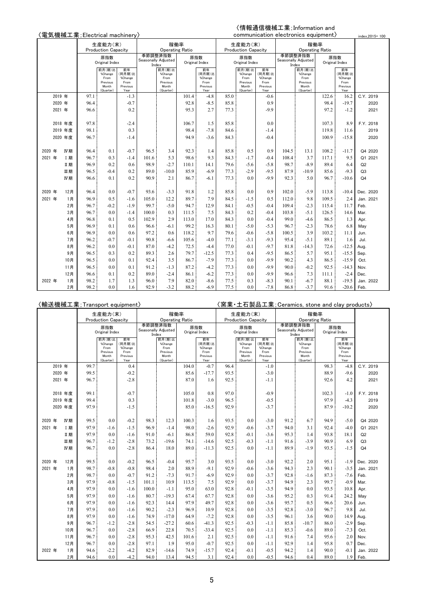# 〈情報通信機械工業;Information and

|        |        |           | 〈電気機械工業;Electrical machinery〉 |                            |                  |       |                                |       |                  |      |                            |                  |       | communication electronics equipment) |                |                  | index, 2015=100 |
|--------|--------|-----------|-------------------------------|----------------------------|------------------|-------|--------------------------------|-------|------------------|------|----------------------------|------------------|-------|--------------------------------------|----------------|------------------|-----------------|
|        |        |           |                               | 生産能力(末)                    |                  |       | 稼働率                            |       |                  |      | 生産能力(末)                    |                  |       | 稼働率                                  |                |                  |                 |
|        |        |           |                               | <b>Production Capacity</b> |                  |       | <b>Operating Ratio</b>         |       |                  |      | <b>Production Capacity</b> |                  |       | <b>Operating Ratio</b>               |                |                  |                 |
|        |        |           |                               | 原指数                        |                  |       | 季節調整済指数<br>Seasonally Adjusted | 原指数   |                  |      | 原指数                        |                  |       | 季節調整済指数<br>Seasonally Adjusted       | 原指数            |                  |                 |
|        |        |           |                               | Original Index             |                  |       | Index                          |       | Original Index   |      | Original Index             |                  | Index |                                      | Original Index |                  |                 |
|        |        |           |                               | 前月(期)比<br>%Change          | 前年<br>(同月期)比     |       | 前月(期)比<br>%Change              |       | 前年<br>(同月期)比     |      | 前月(期)比<br>%Change          | 前年<br>(同月期)比     |       | 前月(期)比<br>%Change                    |                | 前年<br>(同月期)比     |                 |
|        |        |           |                               | From                       | %Change          |       | From                           |       | %Change          |      | From                       | %Change          |       | From                                 |                | %Change          |                 |
|        |        |           |                               | Previous<br>Month          | From<br>Previous |       | Previous<br>Month              |       | From<br>Previous |      | Previous<br>Month          | From<br>Previous |       | Previous<br>Month                    |                | From<br>Previous |                 |
|        |        |           |                               | (Quarter)                  | Year             |       | (Quarter)                      |       | Year             |      | (Quarter)                  | Year             |       | (Quarter)                            |                | Year             |                 |
|        | 2019 年 |           | 97.1                          |                            | $-1.3$           |       |                                | 101.4 | $-4.8$           | 85.0 |                            | $-0.6$           |       |                                      | 122.6          | 16.2             | C.Y. 2019       |
|        | 2020 年 |           | 96.4                          |                            | $-0.7$           |       |                                | 92.8  | $-8.5$           | 85.8 |                            | 0.9              |       |                                      | 98.4           | $-19.7$          | 2020            |
|        | 2021 年 |           | 96.6                          |                            | 0.2              |       |                                | 95.3  | 2.7              | 77.3 |                            | $-9.9$           |       |                                      | 97.2           | $-1.2$           | 2021            |
|        |        |           |                               |                            |                  |       |                                |       |                  |      |                            |                  |       |                                      |                |                  |                 |
|        |        | 2018 年度   | 97.8                          |                            | $-2.4$           |       |                                | 106.7 | 1.5              | 85.8 |                            | 0.0              |       |                                      | 107.3          | 8.9              | F.Y. 2018       |
|        |        | 2019 年度   | 98.1                          |                            | 0.3              |       |                                | 98.4  | $-7.8$           | 84.6 |                            | $-1.4$           |       |                                      | 119.8          | 11.6             | 2019            |
|        |        | 2020 年度   | 96.7                          |                            | $-1.4$           |       |                                | 94.9  | $-3.6$           | 84.3 |                            | $-0.4$           |       |                                      | 100.9          | $-15.8$          | 2020            |
|        |        |           |                               |                            |                  |       |                                |       |                  |      |                            |                  |       |                                      |                |                  |                 |
| 2020 年 |        | IV期       | 96.4                          | 0.1                        | $-0.7$           | 96.5  | 3.4                            | 92.3  | 1.4              | 85.8 | 0.5                        | 0.9              | 104.5 | 13.1                                 | 108.2          | $-11.7$          | Q4 2020         |
| 2021 年 |        | <b>I期</b> | 96.7                          | 0.3                        | $-1.4$           | 101.6 | 5.3                            | 98.6  | 9.3              | 84.3 | $-1.7$                     | $-0.4$           | 108.4 | 3.7                                  | 117.1          | 9.5              | Q1 2021         |
|        |        | Ⅱ期        | 96.9                          | 0.2                        | 0.6              | 98.9  | $-2.7$                         | 110.1 | 14.1             | 79.6 | $-5.6$                     | $-5.8$           | 98.7  | $-8.9$                               | 89.4           | 6.4              | Q2              |
|        |        | 皿期        | 96.5                          | $-0.4$                     | 0.2              | 89.0  | $-10.0$                        | 85.9  | $-6.9$           | 77.3 | $-2.9$                     | $-9.5$           | 87.9  | $-10.9$                              | 85.6           | $-9.3$           | Q <sub>3</sub>  |
|        |        | IV期       | 96.6                          | 0.1                        | 0.2              | 90.9  | 2.1                            | 86.7  | $-6.1$           | 77.3 | 0.0                        | $-9.9$           | 92.3  | 5.0                                  | 96.7           | $-10.6$          | Q <sub>4</sub>  |
|        |        |           |                               |                            |                  |       |                                |       |                  |      |                            |                  |       |                                      |                |                  |                 |
| 2020 年 |        | 12月       | 96.4                          | 0.0                        | $-0.7$           | 93.6  | $-3.3$                         | 91.8  | 1.2              | 85.8 | 0.0                        | 0.9              | 102.0 | $-5.9$                               | 113.8          | $-10.4$          | Dec. 2020       |
| 2021 年 |        | 1月        | 96.9                          | 0.5                        | $-1.6$           | 105.0 | 12.2                           | 89.7  | 7.9              | 84.5 | $-1.5$                     | 0.5              | 112.0 | 9.8                                  | 109.5          | 2.4              | Jan. 2021       |
|        |        | 2月        | 96.7                          | $-0.2$                     | $-1.9$           | 99.7  | $-5.0$                         | 94.7  | 12.9             | 84.1 | $-0.5$                     | $-0.4$           | 109.4 | $-2.3$                               | 115.4          | 11.7             | Feb.            |
|        |        | 3月        | 96.7                          | 0.0                        | $-1.4$           | 100.0 | 0.3                            | 111.5 | 7.5              | 84.3 | 0.2                        | $-0.4$           | 103.8 | $-5.1$                               | 126.5          | 14.6             | Mar.            |
|        |        | 4月        | 96.8                          | 0.1                        | 0.5              | 102.9 | 2.9                            | 113.0 | 17.0             | 84.3 | 0.0                        | $-0.4$           | 99.0  | $-4.6$                               | 86.5           | 1.3              | Apr.            |
|        |        | 5月        | 96.9                          | 0.1                        | 0.6              | 96.6  | $-6.1$                         | 99.2  | 16.3             | 80.1 | $-5.0$                     | $-5.3$           | 96.7  | $-2.3$                               | 78.6           | 6.8              | May             |
|        |        | 6月        | 96.9                          | 0.0                        | 0.6              | 97.2  | 0.6                            | 118.2 | 9.7              | 79.6 | $-0.6$                     | $-5.8$           | 100.5 | 3.9                                  | 103.2          | 11.1             | Jun.            |
|        |        | 7月        | 96.2                          | $-0.7$                     | $-0.1$           | 90.8  | $-6.6$                         | 105.6 | $-4.0$           | 77.1 | $-3.1$                     | $-9.3$           | 95.4  | $-5.1$                               | 89.1           | 1.6              | Jul.            |
|        |        | 8月        | 96.2                          | 0.0                        | $-0.1$           | 87.0  | $-4.2$                         | 72.5  | $-4.4$           | 77.0 | $-0.1$                     | $-9.7$           | 81.8  | $-14.3$                              | 72.6           | $-12.5$          | Aug.            |
|        |        | 9月        | 96.5                          | 0.3                        | 0.2              | 89.3  | 2.6                            | 79.7  | $-12.5$          | 77.3 | 0.4                        | $-9.5$           | 86.5  | 5.7                                  | 95.1           | $-15.5$          | Sep.            |
|        |        | 10月       | 96.5                          | 0.0                        | 0.1              | 92.4  | 3.5                            | 86.7  | $-7.9$           | 77.3 | 0.0                        | $-9.9$           | 90.2  | 4.3                                  | 86.5           | $-15.9$          | Oct.            |
|        |        | 11月       | 96.5                          | 0.0                        | 0.1              | 91.2  | $-1.3$                         | 87.2  | $-4.2$           | 77.3 | 0.0                        | $-9.9$           | 90.0  | $-0.2$                               | 92.5           | $-14.3$          | Nov.            |
|        |        | 12月       | 96.6                          | 0.1                        | 0.2              | 89.0  | $-2.4$                         | 86.1  | $-6.2$           | 77.3 | 0.0                        | $-9.9$           | 96.6  | 7.3                                  | 111.1          | $-2.4$           | Dec.            |
| 2022 年 |        | 1月        | 98.2                          | 1.7                        | 1.3              | 96.0  | 7.9                            | 82.0  | $-8.6$           | 77.5 | 0.3                        | $-8.3$           | 90.1  | $-6.7$                               | 88.1           | $-19.5$          | Jan. 2022       |
|        |        | 2月        | 98.2                          | 0.0                        | 1.6              | 92.9  | $-3.2$                         | 88.2  | $-6.9$           | 77.5 | 0.0                        | $-7.8$           | 86.8  | $-3.7$                               | 91.6           | $-20.6$          | Feb.            |

|        |        |         | 〈輸送機械工業;Transport equipment〉 |                     |                  |       |                                |       |                  |      |                            |                  | (窯業・土石製品工業; Ceramics, stone and clay products〉 |                                |       |                  |                |
|--------|--------|---------|------------------------------|---------------------|------------------|-------|--------------------------------|-------|------------------|------|----------------------------|------------------|------------------------------------------------|--------------------------------|-------|------------------|----------------|
|        |        |         |                              | 生産能力(末)             |                  |       | 稼働率                            |       |                  |      | 生産能力(末)                    |                  |                                                |                                | 稼働率   |                  |                |
|        |        |         |                              | Production Capacity |                  |       | <b>Operating Ratio</b>         |       |                  |      | <b>Production Capacity</b> |                  |                                                | <b>Operating Ratio</b>         |       |                  |                |
|        |        |         |                              | 原指数                 |                  |       | 季節調整済指数<br>Seasonally Adjusted |       | 原指数              |      | 原指数                        |                  |                                                | 季節調整済指数<br>Seasonally Adjusted |       | 原指数              |                |
|        |        |         |                              | Original Index      |                  |       | Index                          |       | Original Index   |      | Original Index             |                  |                                                | Index                          |       | Original Index   |                |
|        |        |         |                              | 前月(期)比<br>%Change   | 前年<br>(同月期)比     |       | 前月(期)比<br>%Change              |       | 前年<br>(同月期)比     |      | 前月(期)比<br>%Change          | 前年<br>(同月期)比     |                                                | 前月(期)比<br>%Change              |       | 前年<br>(同月期)比     |                |
|        |        |         |                              | From                | %Change          |       | From                           |       | %Change          |      | From                       | %Change          |                                                | From                           |       | %Change          |                |
|        |        |         |                              | Previous<br>Month   | From<br>Previous |       | Previous<br>Month              |       | From<br>Previous |      | Previous<br>Month          | From<br>Previous |                                                | Previous<br>Month              |       | From<br>Previous |                |
|        |        |         |                              | (Quarter)           | Year             |       | (Quarter)                      |       | Year             |      | (Quarter)                  | Year             |                                                | (Quarter)                      |       | Year             |                |
|        | 2019 年 |         | 99.7                         |                     | 0.4              |       |                                | 104.0 | $-0.7$           | 96.4 |                            | $-1.0$           |                                                |                                | 98.3  | $-4.8$           | C.Y. 2019      |
|        | 2020 年 |         | 99.5                         |                     | $-0.2$           |       |                                | 85.6  | $-17.7$          | 93.5 |                            | $-3.0$           |                                                |                                | 88.9  | $-9.6$           | 2020           |
|        | 2021 年 |         | 96.7                         |                     | $-2.8$           |       |                                | 87.0  | 1.6              | 92.5 |                            | $-1.1$           |                                                |                                | 92.6  | 4.2              | 2021           |
|        |        |         |                              |                     |                  |       |                                |       |                  |      |                            |                  |                                                |                                |       |                  |                |
|        |        | 2018 年度 | 99.1                         |                     | $-0.7$           |       |                                | 105.0 | 0.8              | 97.0 |                            | $-0.9$           |                                                |                                | 102.3 | $-1.0$           | F.Y. 2018      |
|        |        | 2019 年度 | 99.4                         |                     | 0.3              |       |                                | 101.8 | $-3.0$           | 96.5 |                            | $-0.5$           |                                                |                                | 97.9  | $-4.3$           | 2019           |
|        |        | 2020 年度 | 97.9                         |                     | $-1.5$           |       |                                | 85.0  | $-16.5$          | 92.9 |                            | $-3.7$           |                                                |                                | 87.9  | $-10.2$          | 2020           |
|        |        |         |                              |                     |                  |       |                                |       |                  |      |                            |                  |                                                |                                |       |                  |                |
| 2020 年 |        | IV期     | 99.5                         | 0.0                 | $-0.2$           | 98.3  | 12.3                           | 100.3 | 1.6              | 93.5 | 0.0                        | $-3.0$           | 91.2                                           | 6.7                            | 94.9  | $-5.0$           | Q4 2020        |
| 2021 年 |        | I期      | 97.9                         | $-1.6$              | $-1.5$           | 96.9  | $-1.4$                         | 98.0  | $-2.6$           | 92.9 | $-0.6$                     | $-3.7$           | 94.0                                           | 3.1                            | 92.4  | $-4.0$           | Q1 2021        |
|        |        | Ⅱ期      | 97.9                         | 0.0                 | $-1.6$           | 91.0  | $-6.1$                         | 86.8  | 59.0             | 92.8 | $-0.1$                     | $-3.6$           | 95.3                                           | 1.4                            | 93.8  | 18.1             | Q2             |
|        |        | 皿期      | 96.7                         | $-1.2$              | $-2.8$           | 73.2  | $-19.6$                        | 74.1  | $-14.6$          | 92.5 | $-0.3$                     | $-1.1$           | 91.6                                           | $-3.9$                         | 90.9  | 6.9              | Q <sub>3</sub> |
|        |        | IV期     | 96.7                         | 0.0                 | $-2.8$           | 86.4  | 18.0                           | 89.0  | $-11.3$          | 92.5 | 0.0                        | $-1.1$           | 89.9                                           | $-1.9$                         | 93.5  | $-1.5$           | Q <sub>4</sub> |
|        |        |         |                              |                     |                  |       |                                |       |                  |      |                            |                  |                                                |                                |       |                  |                |
| 2020 年 |        | 12月     | 99.5                         | 0.0                 | $-0.2$           | 96.5  | $-0.4$                         | 95.7  | 3.0              | 93.5 | 0.0                        | $-3.0$           | 92.2                                           | 2.0                            | 95.1  | $-1.9$           | Dec. 2020      |
| 2021 年 |        | 1月      | 98.7                         | $-0.8$              | $-0.8$           | 98.4  | 2.0                            | 88.9  | $-9.1$           | 92.9 | $-0.6$                     | $-3.6$           | 94.3                                           | 2.3                            | 90.1  | $-3.5$           | Jan. 2021      |
|        |        | 2月      | 98.7                         | 0.0                 | $-0.7$           | 91.2  | $-7.3$                         | 91.7  | $-6.9$           | 92.9 | 0.0                        | $-3.7$           | 92.8                                           | $-1.6$                         | 87.3  | $-7.6$           | Feb.           |
|        |        | 3月      | 97.9                         | $-0.8$              | $-1.5$           | 101.1 | 10.9                           | 113.5 | 7.5              | 92.9 | 0.0                        | $-3.7$           | 94.9                                           | 2.3                            | 99.7  | $-0.9$           | Mar.           |
|        |        | 4月      | 97.9                         | 0.0                 | $-1.6$           | 100.0 | $-1.1$                         | 95.0  | 63.0             | 92.8 | $-0.1$                     | $-3.5$           | 94.9                                           | 0.0                            | 93.5  | 10.8             | Apr.           |
|        |        | 5月      | 97.9                         | 0.0                 | $-1.6$           | 80.7  | $-19.3$                        | 67.4  | 67.7             | 92.8 | 0.0                        | $-3.6$           | 95.2                                           | 0.3                            | 91.4  | 24.2             | May            |
|        |        | 6月      | 97.9                         | 0.0                 | $-1.6$           | 92.3  | 14.4                           | 97.9  | 49.7             | 92.8 | 0.0                        | $-3.6$           | 95.7                                           | 0.5                            | 96.6  | 20.6             | Jun.           |
|        |        | 7月      | 97.9                         | 0.0                 | $-1.6$           | 90.2  | $-2.3$                         | 96.9  | 10.9             | 92.8 | 0.0                        | $-3.5$           | 92.8                                           | $-3.0$                         | 96.7  | 9.8              | Jul.           |
|        |        | 8月      | 97.9                         | 0.0                 | $-1.6$           | 74.9  | $-17.0$                        | 64.9  | $-7.2$           | 92.8 | 0.0                        | $-3.5$           | 96.1                                           | 3.6                            | 90.0  | 14.9             | Aug.           |
|        |        | 9月      | 96.7                         | $-1.2$              | $-2.8$           | 54.5  | $-27.2$                        | 60.6  | $-41.3$          | 92.5 | $-0.3$                     | $-1.1$           | 85.8                                           | $-10.7$                        | 86.0  | $-2.9$           | Sep.           |
|        |        | 10月     | 96.7                         | 0.0                 | $-2.8$           | 66.9  | 22.8                           | 70.5  | $-33.4$          | 92.5 | 0.0                        | $-1.1$           | 85.3                                           | $-0.6$                         | 89.0  | $-7.3$           | Oct.           |
|        |        | 11月     | 96.7                         | 0.0                 | $-2.8$           | 95.3  | 42.5                           | 101.6 | 2.1              | 92.5 | 0.0                        | $-1.1$           | 91.6                                           | 7.4                            | 95.6  | 2.0              | Nov.           |
|        |        | 12月     | 96.7                         | 0.0                 | $-2.8$           | 97.1  | 1.9                            | 95.0  | $-0.7$           | 92.5 | 0.0                        | $-1.1$           | 92.9                                           | 1.4                            | 95.8  | 0.7              | Dec.           |
| 2022 年 |        | 1月      | 94.6                         | $-2.2$              | $-4.2$           | 82.9  | -14.6                          | 74.9  | $-15.7$          | 92.4 | $-0.1$                     | $-0.5$           | 94.2                                           | 1.4                            | 90.0  | $-0.1$           | Jan. 2022      |
|        |        | 2月      | 94.6                         | 0.0                 | $-4.2$           | 94.0  | 13.4                           | 94.5  | 3.1              | 92.4 | 0.0                        | $-0.5$           | 94.6                                           | 0.4                            | 89.0  | 1.9              | Feb.           |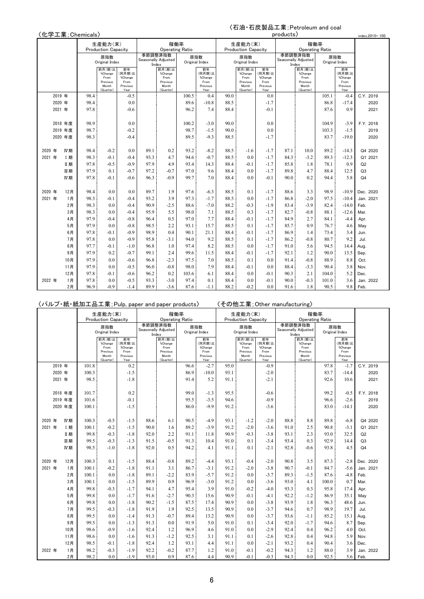#### 〈石油・石炭製品工業;Petroleum and coal products〉

| 〈化学工業; Chemicals〉 |  |
|-------------------|--|
|-------------------|--|

|        |                                                                         | \1L子工耒; Unemicals,                   |                                 |                                                                                                  |                                                              |                                                               |                                                               |                                          |                                                                      |                             |                                             | products,                                    |                                                    |                                                |                                                                            | index, 2015=100                                                  |
|--------|-------------------------------------------------------------------------|--------------------------------------|---------------------------------|--------------------------------------------------------------------------------------------------|--------------------------------------------------------------|---------------------------------------------------------------|---------------------------------------------------------------|------------------------------------------|----------------------------------------------------------------------|-----------------------------|---------------------------------------------|----------------------------------------------|----------------------------------------------------|------------------------------------------------|----------------------------------------------------------------------------|------------------------------------------------------------------|
|        |                                                                         |                                      | 生産能力(末)                         |                                                                                                  |                                                              | 稼働率                                                           |                                                               |                                          |                                                                      | 生産能力(末)                     |                                             |                                              | 稼働率                                                |                                                |                                                                            |                                                                  |
|        |                                                                         |                                      | <b>Production Capacity</b>      |                                                                                                  |                                                              | <b>Operating Ratio</b>                                        |                                                               |                                          |                                                                      | <b>Production Capacity</b>  |                                             |                                              | <b>Operating Ratio</b>                             |                                                |                                                                            |                                                                  |
|        |                                                                         |                                      | 原指数                             |                                                                                                  |                                                              | 季節調整済指数                                                       |                                                               | 原指数                                      |                                                                      | 原指数                         |                                             |                                              | 季節調整済指数                                            |                                                | 原指数                                                                        |                                                                  |
|        |                                                                         |                                      | Original Index                  |                                                                                                  | Index                                                        | Seasonally Adjusted                                           |                                                               | Original Index                           |                                                                      | Original Index              |                                             |                                              | Seasonally Adjusted<br>Index                       |                                                | Original Index                                                             |                                                                  |
|        |                                                                         |                                      | 前月(期)比                          | 前年                                                                                               |                                                              | 前月(期)比                                                        |                                                               | 前年                                       |                                                                      | 前月(期)比                      | 前年                                          |                                              | 前月(期)比                                             |                                                | 前年                                                                         |                                                                  |
|        |                                                                         |                                      | %Change<br>From                 | (同月期)比<br>%Change                                                                                |                                                              | %Change<br>From                                               |                                                               | (同月期)比<br>%Change                        |                                                                      | %Change<br>From             | (同月期)比<br>%Change                           |                                              | %Change<br>From                                    |                                                | (同月期)比<br>%Change                                                          |                                                                  |
|        |                                                                         |                                      | Previous<br>Month               | From<br>Previous                                                                                 |                                                              | Previous<br>Month                                             |                                                               | From<br>Previous                         |                                                                      | Previous<br>Month           | From<br>Previous                            |                                              | Previous<br>Month                                  |                                                | From<br>Previous                                                           |                                                                  |
|        |                                                                         |                                      | (Quarter)                       | Year                                                                                             |                                                              | (Quarter)                                                     |                                                               | Year                                     |                                                                      | (Quarter)                   | Year                                        |                                              | (Quarter)                                          |                                                | Year                                                                       |                                                                  |
|        | 2019 年                                                                  | 98.4                                 |                                 | $-0.5$                                                                                           |                                                              |                                                               | 100.5                                                         | 0.4                                      | 90.0                                                                 |                             | 0.0                                         |                                              |                                                    | 105.1                                          | $-0.4$                                                                     | C.Y. 2019                                                        |
|        | 2020 年                                                                  | 98.4                                 |                                 | 0.0                                                                                              |                                                              |                                                               | 89.6                                                          | $-10.8$                                  | 88.5                                                                 |                             | $-1.7$                                      |                                              |                                                    | 86.8                                           | $-17.4$                                                                    | 2020                                                             |
|        | 2021 年                                                                  | 97.8                                 |                                 | $-0.6$                                                                                           |                                                              |                                                               | 96.2                                                          | 7.4                                      | 88.4                                                                 |                             | $-0.1$                                      |                                              |                                                    | 87.6                                           | 0.9                                                                        | 2021                                                             |
|        |                                                                         |                                      |                                 |                                                                                                  |                                                              |                                                               |                                                               |                                          |                                                                      |                             |                                             |                                              |                                                    |                                                |                                                                            |                                                                  |
|        | 2018 年度                                                                 | 98.9                                 |                                 | 0.0                                                                                              |                                                              |                                                               | 100.2                                                         | $-3.0$                                   | 90.0                                                                 |                             | 0.0                                         |                                              |                                                    | 104.9                                          | $-3.9$                                                                     | F.Y. 2018                                                        |
|        | 2019 年度                                                                 | 98.7                                 |                                 | $-0.2$                                                                                           |                                                              |                                                               | 98.7                                                          | $-1.5$                                   | 90.0                                                                 |                             | 0.0                                         |                                              |                                                    | 103.3                                          | $-1.5$                                                                     | 2019                                                             |
|        | 2020 年度                                                                 | 98.3                                 |                                 | $-0.4$                                                                                           |                                                              |                                                               | 89.5                                                          | $-9.3$                                   | 88.5                                                                 |                             | $-1.7$                                      |                                              |                                                    | 83.7                                           | $-19.0$                                                                    | 2020                                                             |
|        |                                                                         |                                      |                                 |                                                                                                  |                                                              |                                                               |                                                               |                                          |                                                                      |                             |                                             |                                              |                                                    |                                                |                                                                            |                                                                  |
| 2020 年 | IV期                                                                     | 98.4                                 | $-0.2$                          | 0.0                                                                                              | 89.1                                                         | 0.2                                                           | 93.2                                                          | $-8.2$                                   | 88.5                                                                 | $-1.6$                      | $-1.7$                                      | 87.1                                         | 10.0                                               | 89.2                                           | $-14.3$                                                                    | Q4 2020                                                          |
| 2021 年 | I 期                                                                     | 98.3                                 | $-0.1$                          | $-0.4$                                                                                           | 93.3                                                         | 4.7                                                           | 94.6                                                          | $-0.7$                                   | 88.5                                                                 | 0.0                         | $-1.7$                                      | 84.3                                         | $-3.2$                                             | 89.3                                           | $-12.3$                                                                    | Q1 2021                                                          |
|        | Ⅱ期                                                                      | 97.8                                 | $-0.5$                          | $-0.9$                                                                                           | 97.9                                                         | 4.9                                                           | 93.4                                                          | 14.3                                     | 88.4                                                                 | $-0.1$                      | $-1.7$                                      | 85.8                                         | 1.8                                                | 78.1                                           | 0.9                                                                        | Q2                                                               |
|        | 皿期                                                                      | 97.9                                 | 0.1                             | $-0.7$                                                                                           | 97.2                                                         | $-0.7$                                                        | 97.0                                                          | 9.6                                      | 88.4                                                                 | 0.0                         | $-1.7$                                      | 89.8                                         | 4.7                                                | 88.4                                           | 12.5                                                                       | Q <sub>3</sub>                                                   |
|        |                                                                         | 97.8                                 | $-0.1$                          |                                                                                                  |                                                              | $-0.9$                                                        | 99.7                                                          | 7.0                                      | 88.4                                                                 | 0.0                         | $-0.1$                                      | 90.0                                         | 0.2                                                | 94.4                                           |                                                                            | Q <sub>4</sub>                                                   |
|        |                                                                         |                                      |                                 |                                                                                                  |                                                              |                                                               |                                                               |                                          |                                                                      |                             |                                             |                                              |                                                    |                                                |                                                                            |                                                                  |
| 2020 年 | 12月                                                                     | 98.4                                 | 0.0                             | 0.0                                                                                              | 89.7                                                         | 1.9                                                           | 97.6                                                          | $-6.3$                                   | 88.5                                                                 | 0.1                         | $-1.7$                                      | 88.6                                         | 3.3                                                | 98.9                                           | $-10.9$                                                                    | Dec. 2020                                                        |
| 2021 年 | 1月                                                                      | 98.3                                 | $-0.1$                          | $-0.4$                                                                                           | 93.2                                                         | 3.9                                                           | 97.3                                                          | $-1.7$                                   | 88.5                                                                 | 0.0                         | $-1.7$                                      | 86.8                                         | $-2.0$                                             | 97.5                                           | $-10.4$                                                                    | Jan. 2021                                                        |
|        |                                                                         | 98.3                                 | 0.0                             |                                                                                                  | 90.9                                                         | $-2.5$                                                        |                                                               | $-7.0$                                   |                                                                      | $-0.3$                      | $-1.9$                                      | 83.4                                         | $-3.9$                                             | 82.4                                           | $-14.0$                                                                    | Feb.                                                             |
|        |                                                                         |                                      |                                 |                                                                                                  |                                                              |                                                               |                                                               |                                          |                                                                      |                             |                                             |                                              |                                                    |                                                |                                                                            |                                                                  |
|        |                                                                         | 97.9                                 | $-0.4$                          |                                                                                                  | 96.4                                                         |                                                               | 97.0                                                          |                                          | 88.4                                                                 | $-0.1$                      | $-1.7$                                      | 84.9                                         | 2.7                                                | 84.1                                           |                                                                            |                                                                  |
|        |                                                                         |                                      |                                 |                                                                                                  |                                                              |                                                               |                                                               |                                          |                                                                      |                             |                                             |                                              |                                                    |                                                |                                                                            |                                                                  |
|        | 6月                                                                      | 97.8                                 | $-0.1$                          | $-0.9$                                                                                           | 98.9                                                         | 0.4                                                           | 90.1                                                          | 21.1                                     | 88.4                                                                 | $-0.1$                      | $-1.7$                                      | 86.9                                         | 1.4                                                | 73.4                                           | 3.4                                                                        | Jun.                                                             |
|        |                                                                         | 97.8                                 | 0.0                             | $-0.9$                                                                                           | 95.8                                                         | $-3.1$                                                        | 94.0                                                          | 9.2                                      | 88.5                                                                 | 0.1                         | $-1.7$                                      | 86.2                                         |                                                    | 80.7                                           |                                                                            | Jul.                                                             |
|        |                                                                         | 97.7                                 | $-0.1$                          | $-1.0$                                                                                           |                                                              | 1.0                                                           | 97.4                                                          | 8.2                                      |                                                                      | 0.0                         | $-1.7$                                      | 91.0                                         | 5.6                                                | 94.5                                           | 14.4                                                                       |                                                                  |
|        |                                                                         | 97.9                                 |                                 |                                                                                                  |                                                              |                                                               |                                                               |                                          |                                                                      | $-0.1$                      |                                             |                                              |                                                    |                                                |                                                                            |                                                                  |
|        | 10月                                                                     | 97.9                                 | 0.0                             | $-0.6$                                                                                           | 96.8                                                         | $-2.3$                                                        | 97.5                                                          | 7.0                                      | 88.5                                                                 | 0.1                         | 0.0                                         | 91.4                                         | $-0.8$                                             | 88.9                                           | 8.8                                                                        | Oct.                                                             |
|        |                                                                         |                                      |                                 |                                                                                                  |                                                              |                                                               |                                                               |                                          |                                                                      |                             |                                             |                                              |                                                    |                                                |                                                                            |                                                                  |
|        |                                                                         |                                      | $-0.1$                          |                                                                                                  |                                                              |                                                               |                                                               | 6.1                                      |                                                                      | 0.0                         | $-0.1$                                      |                                              | 2.1                                                |                                                |                                                                            | Dec.                                                             |
|        |                                                                         |                                      |                                 |                                                                                                  |                                                              |                                                               |                                                               |                                          |                                                                      |                             |                                             |                                              |                                                    |                                                |                                                                            |                                                                  |
|        |                                                                         | 96.9                                 | $-0.9$                          |                                                                                                  | 89.9                                                         |                                                               |                                                               | $-1.1$                                   |                                                                      | $-0.2$                      | 0.0                                         | 91.6                                         | 1.8                                                | 90.5                                           |                                                                            |                                                                  |
| 2022 年 | IV期<br>2月<br>3月<br>4月<br>5月<br>7月<br>8月<br>9月<br>11月<br>12月<br>1月<br>2月 | 98.3<br>97.9<br>97.9<br>97.8<br>97.8 | 0.0<br>0.0<br>0.2<br>0.0<br>0.0 | $-0.6$<br>$-0.4$<br>$-0.4$<br>$-0.8$<br>$-0.8$<br>$-0.7$<br>$-0.5$<br>$-0.6$<br>$-0.5$<br>$-1.4$ | 96.3<br>95.9<br>98.5<br>96.8<br>99.1<br>96.0<br>96.2<br>93.3 | 5.5<br>0.5<br>2.2<br>2.4<br>$-0.8$<br>0.2<br>$-3.0$<br>$-3.6$ | 88.6<br>98.0<br>93.1<br>99.6<br>98.0<br>103.6<br>97.4<br>87.6 | 7.1<br>7.7<br>15.7<br>11.5<br>7.9<br>0.1 | 88.2<br>88.5<br>88.5<br>88.5<br>88.4<br>88.4<br>88.4<br>88.4<br>88.2 | 0.3<br>0.1<br>$-0.1$<br>0.0 | $-1.7$<br>$-1.7$<br>$-1.7$<br>0.0<br>$-0.1$ | 82.7<br>85.7<br>92.1<br>88.4<br>90.3<br>90.0 | $-0.8$<br>0.9<br>$-0.8$<br>1.2<br>$-3.3$<br>$-0.3$ | 88.1<br>76.7<br>90.0<br>90.4<br>104.0<br>101.0 | 5.8<br>$-12.6$<br>$-4.4$<br>4.6<br>9.2<br>13.5<br>3.8<br>5.2<br>3.6<br>9.8 | Mar.<br>Apr.<br>May<br>Aug.<br>Sep.<br>Nov.<br>Jan. 2022<br>Feb. |

|        |         |     |       |                                                             |                                                     |       | 〈パルプ・紙・紙加工品工業; Pulp, paper and paper products〉              |      |                                                     |      |                                                             |                                                     | 〈その他工業 ; Other manufacturing〉 |                                                             |       |                                                     |                |
|--------|---------|-----|-------|-------------------------------------------------------------|-----------------------------------------------------|-------|-------------------------------------------------------------|------|-----------------------------------------------------|------|-------------------------------------------------------------|-----------------------------------------------------|-------------------------------|-------------------------------------------------------------|-------|-----------------------------------------------------|----------------|
|        |         |     |       | 生産能力(末)<br><b>Production Capacity</b>                       |                                                     |       | 稼働率<br><b>Operating Ratio</b>                               |      |                                                     |      | 生産能力(末)<br><b>Production Capacity</b>                       |                                                     |                               | 稼働率<br><b>Operating Ratio</b>                               |       |                                                     |                |
|        |         |     |       |                                                             |                                                     |       | 季節調整済指数                                                     |      | 原指数                                                 |      | 原指数                                                         |                                                     | 季節調整済指数                       |                                                             |       | 原指数                                                 |                |
|        |         |     |       | 原指数<br>Original Index                                       |                                                     | Index | Seasonally Adjusted                                         |      | Original Index                                      |      | Original Index                                              |                                                     | Index                         | Seasonally Adjusted                                         |       | Original Index                                      |                |
|        |         |     |       | 前月(期)比<br>%Change<br>From<br>Previous<br>Month<br>(Quarter) | 前年<br>(同月期)比<br>%Change<br>From<br>Previous<br>Year |       | 前月(期)比<br>%Change<br>From<br>Previous<br>Month<br>(Quarter) |      | 前年<br>(同月期)比<br>%Change<br>From<br>Previous<br>Year |      | 前月(期)比<br>%Change<br>From<br>Previous<br>Month<br>(Quarter) | 前年<br>(同月期)比<br>%Change<br>From<br>Previous<br>Year |                               | 前月(期)比<br>%Change<br>From<br>Previous<br>Month<br>(Quarter) |       | 前年<br>(同月期)比<br>%Change<br>From<br>Previous<br>Year |                |
|        | 2019 年  |     | 101.8 |                                                             | 0.2                                                 |       |                                                             | 96.6 | $-2.7$                                              | 95.0 |                                                             | $-0.9$                                              |                               |                                                             | 97.8  | $-1.7$                                              | C.Y. 2019      |
|        | 2020 年  |     | 100.3 |                                                             | $-1.5$                                              |       |                                                             | 86.9 | $-10.0$                                             | 93.1 |                                                             | $-2.0$                                              |                               |                                                             | 83.7  | $-14.4$                                             | 2020           |
|        | 2021 年  |     | 98.5  |                                                             | $-1.8$                                              |       |                                                             | 91.4 | 5.2                                                 | 91.1 |                                                             | $-2.1$                                              |                               |                                                             | 92.6  | 10.6                                                | 2021           |
|        |         |     |       |                                                             |                                                     |       |                                                             |      |                                                     |      |                                                             |                                                     |                               |                                                             |       |                                                     |                |
|        | 2018 年度 |     | 101.7 |                                                             | 0.2                                                 |       |                                                             | 99.0 | $-1.3$                                              | 95.5 |                                                             | $-0.6$                                              |                               |                                                             | 99.2  | $-0.5$                                              | F.Y. 2018      |
|        | 2019 年度 |     | 101.6 |                                                             | $-0.1$                                              |       |                                                             | 95.5 | $-3.5$                                              | 94.6 |                                                             | $-0.9$                                              |                               |                                                             | 96.6  | $-2.6$                                              | 2019           |
|        | 2020 年度 |     | 100.1 |                                                             | $-1.5$                                              |       |                                                             | 86.0 | $-9.9$                                              | 91.2 |                                                             | $-3.6$                                              |                               |                                                             | 83.0  | $-14.1$                                             | 2020           |
|        |         |     |       |                                                             |                                                     |       |                                                             |      |                                                     |      |                                                             |                                                     |                               |                                                             |       |                                                     |                |
| 2020 年 |         | IV期 | 100.3 | $-0.5$                                                      | $-1.5$                                              | 88.6  | 6.1                                                         | 90.5 | $-4.9$                                              | 93.1 | $-1.2$                                                      | $-2.0$                                              | 88.8                          | 8.8                                                         | 89.8  | $-6.8$                                              | Q4 2020        |
| 2021 年 |         | I 期 | 100.1 | $-0.2$                                                      | $-1.5$                                              | 90.0  | 1.6                                                         | 89.2 | $-3.9$                                              | 91.2 | $-2.0$                                                      | $-3.6$                                              | 91.0                          | 2.5                                                         | 90.8  | $-3.1$                                              | Q1 2021        |
|        |         | Ⅱ期  | 99.8  | $-0.3$                                                      | $-1.8$                                              | 92.0  | 2.2                                                         | 91.1 | 11.8                                                | 90.9 | $-0.3$                                                      | $-3.8$                                              | 93.1                          | 2.3                                                         | 93.0  | 32.5                                                | Q2             |
|        |         | 皿期  | 99.5  | $-0.3$                                                      | $-1.3$                                              | 91.5  | $-0.5$                                                      | 91.3 | 10.4                                                | 91.0 | 0.1                                                         | $-3.4$                                              | 93.4                          | 0.3                                                         | 92.9  | 14.4                                                | Q <sub>3</sub> |
|        |         | IV期 | 98.5  | $-1.0$                                                      | $-1.8$                                              | 92.0  | 0.5                                                         | 94.2 | 4.1                                                 | 91.1 | 0.1                                                         | $-2.1$                                              | 92.8                          | $-0.6$                                                      | 93.8  | 4.5                                                 | Q <sub>4</sub> |
|        |         |     |       |                                                             |                                                     |       |                                                             |      |                                                     |      |                                                             |                                                     |                               |                                                             |       |                                                     |                |
| 2020 年 |         | 12月 | 100.3 | 0.1                                                         | $-1.5$                                              | 88.4  | $-0.8$                                                      | 89.2 | $-4.4$                                              | 93.1 | $-0.4$                                                      | $-2.0$                                              | 90.8                          | 3.5                                                         | 87.3  | $-2.8$                                              | Dec. 2020      |
| 2021 年 |         | 1月  | 100.1 | $-0.2$                                                      | $-1.8$                                              | 91.1  | 3.1                                                         | 86.7 | $-3.1$                                              | 91.2 | $-2.0$                                                      | $-3.8$                                              | 90.7                          | $-0.1$                                                      | 84.7  | $-5.6$                                              | Jan. 2021      |
|        |         | 2月  | 100.1 | 0.0                                                         | $-1.8$                                              | 89.1  | $-2.2$                                                      | 83.9 | $-5.7$                                              | 91.2 | 0.0                                                         | $-3.7$                                              | 89.3                          | $-1.5$                                                      | 87.6  | $-4.8$                                              | Feb.           |
|        |         | 3月  | 100.1 | 0.0                                                         | $-1.5$                                              | 89.9  | 0.9                                                         | 96.9 | $-3.0$                                              | 91.2 | 0.0                                                         | $-3.6$                                              | 93.0                          | 4.1                                                         | 100.0 | 0.7                                                 | Mar.           |
|        |         | 4月  | 99.8  | $-0.3$                                                      | $-1.7$                                              | 94.1  | 4.7                                                         | 95.4 | 3.9                                                 | 91.0 | $-0.2$                                                      | $-4.0$                                              | 93.3                          | 0.3                                                         | 95.8  | 17.4                                                | Apr.           |
|        |         | 5月  | 99.8  | 0.0                                                         | $-1.7$                                              | 91.6  | $-2.7$                                                      | 90.3 | 15.6                                                | 90.9 | $-0.1$                                                      | $-4.1$                                              | 92.2                          | $-1.2$                                                      | 86.9  | 35.1                                                | May            |
|        |         | 6月  | 99.8  | 0.0                                                         | $-1.8$                                              | 90.2  | $-1.5$                                                      | 87.5 | 17.4                                                | 90.9 | 0.0                                                         | $-3.8$                                              | 93.9                          | 1.8                                                         | 96.3  | 48.6                                                | Jun.           |
|        |         | 7月  | 99.5  | $-0.3$                                                      | $-1.8$                                              | 91.9  | 1.9                                                         | 92.5 | 13.5                                                | 90.9 | 0.0                                                         | $-3.7$                                              | 94.6                          | 0.7                                                         | 98.9  | 19.7                                                | Jul.           |
|        |         | 8月  | 99.5  | 0.0                                                         | $-1.4$                                              | 91.3  | $-0.7$                                                      | 89.4 | 13.2                                                | 90.9 | 0.0                                                         | $-3.7$                                              | 93.6                          | $-1.1$                                                      | 85.2  | 15.1                                                | Aug.           |
|        |         | 9月  | 99.5  | 0.0                                                         | $-1.3$                                              | 91.3  | 0.0                                                         | 91.9 | 5.0                                                 | 91.0 | 0.1                                                         | $-3.4$                                              | 92.0                          | $-1.7$                                                      | 94.6  | 8.7                                                 | Sep.           |
|        |         | 10月 | 98.6  | $-0.9$                                                      | $-1.6$                                              | 92.4  | 1.2                                                         | 96.9 | 4.6                                                 | 91.0 | 0.0                                                         | $-2.9$                                              | 92.4                          | 0.4                                                         | 96.2  | 4.0                                                 | Oct.           |
|        |         | 11月 | 98.6  | 0.0                                                         | $-1.6$                                              | 91.3  | $-1.2$                                                      | 92.5 | 3.1                                                 | 91.1 | 0.1                                                         | $-2.6$                                              | 92.8                          | 0.4                                                         | 94.8  | 5.9                                                 | Nov.           |
|        |         | 12月 | 98.5  | $-0.1$                                                      | $-1.8$                                              | 92.4  | 1.2                                                         | 93.1 | 4.4                                                 | 91.1 | 0.0                                                         | $-2.1$                                              | 93.2                          | 0.4                                                         | 90.4  | 3.6                                                 | Dec.           |
| 2022 年 |         | 1月  | 98.2  | $-0.3$                                                      | $-1.9$                                              | 92.2  | $-0.2$                                                      | 87.7 | 1.2                                                 | 91.0 | $-0.1$                                                      | $-0.2$                                              | 94.3                          | 1.2                                                         | 88.0  | 3.9                                                 | Jan. 2022      |
|        |         | 2月  | 98.2  | 0.0                                                         | $-1.9$                                              | 93.0  | 0.9                                                         | 87.6 | 4.4                                                 | 90.9 | $-0.1$                                                      | $-0.3$                                              | 94.3                          | 0.0                                                         | 92.5  | 5.6                                                 | Feb.           |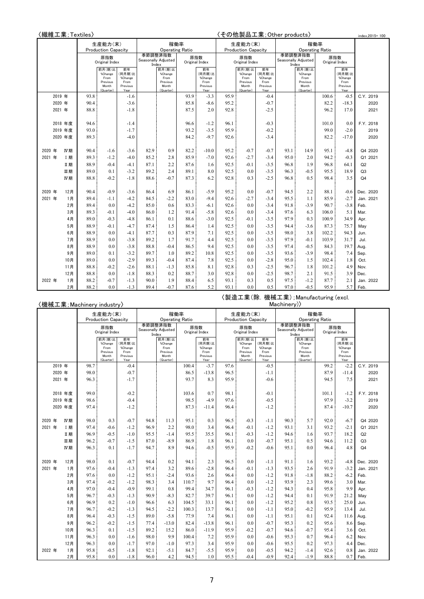| 〈繊維工業;Textiles〉 |         |                            |                                                             |                                                     |                                   |                                                             |      |                                                     | 〈その他製品工業;Other products〉 | index.2015=100                                              |                                                     |                                   |                                                             |                       |                                                     |                |
|-----------------|---------|----------------------------|-------------------------------------------------------------|-----------------------------------------------------|-----------------------------------|-------------------------------------------------------------|------|-----------------------------------------------------|--------------------------|-------------------------------------------------------------|-----------------------------------------------------|-----------------------------------|-------------------------------------------------------------|-----------------------|-----------------------------------------------------|----------------|
|                 |         |                            | 生産能力(末)                                                     |                                                     |                                   | 稼働率                                                         |      |                                                     |                          | 生産能力(末)                                                     |                                                     |                                   |                                                             |                       |                                                     |                |
|                 |         | <b>Production Capacity</b> |                                                             |                                                     | <b>Operating Ratio</b><br>季節調整済指数 |                                                             |      |                                                     |                          | <b>Production Capacity</b>                                  |                                                     | <b>Operating Ratio</b><br>季節調整済指数 |                                                             |                       |                                                     |                |
|                 |         |                            | 原指数<br>Original Index                                       |                                                     |                                   | Seasonally Adjusted<br>Index                                |      | 原指数<br>Original Index                               |                          | 原指数<br>Original Index                                       |                                                     |                                   | Seasonally Adjusted<br>Index                                | 原指数<br>Original Index |                                                     |                |
|                 |         |                            | 前月(期)比<br>%Change<br>From<br>Previous<br>Month<br>(Quarter) | 前年<br>(同月期)比<br>%Change<br>From<br>Previous<br>Year |                                   | 前月(期)比<br>%Change<br>From<br>Previous<br>Month<br>(Quarter) |      | 前年<br>(同月期)比<br>%Change<br>From<br>Previous<br>Year |                          | 前月(期)比<br>%Change<br>From<br>Previous<br>Month<br>(Quarter) | 前年<br>(同月期)比<br>%Change<br>From<br>Previous<br>Year |                                   | 前月(期)比<br>%Change<br>From<br>Previous<br>Month<br>(Quarter) |                       | 前年<br>(同月期)比<br>%Change<br>From<br>Previous<br>Year |                |
|                 | 2019 年  | 93.8                       |                                                             | -1.6                                                |                                   |                                                             | 93.9 | $-3.3$                                              | 95.9                     |                                                             | $-0.4$                                              |                                   |                                                             | 100.6                 | $-0.5$                                              | C.Y. 2019      |
|                 | 2020 年  | 90.4                       |                                                             | $-3.6$                                              |                                   |                                                             | 85.8 | $-8.6$                                              | 95.2                     |                                                             | $-0.7$                                              |                                   |                                                             | 82.2                  | $-18.3$                                             | 2020           |
|                 | 2021 年  | 88.8                       |                                                             | $-1.8$                                              |                                   |                                                             | 87.5 | 2.0                                                 | 92.8                     |                                                             | $-2.5$                                              |                                   |                                                             | 96.2                  | 17.0                                                | 2021           |
|                 |         |                            |                                                             |                                                     |                                   |                                                             |      |                                                     |                          |                                                             |                                                     |                                   |                                                             |                       |                                                     |                |
|                 | 2018 年度 | 94.6                       |                                                             | -1.4                                                |                                   |                                                             | 96.6 | $-1.2$                                              | 96.1                     |                                                             | $-0.3$                                              |                                   |                                                             | 101.0                 | 0.0                                                 | F.Y. 2018      |
|                 | 2019 年度 | 93.0                       |                                                             | $-1.7$                                              |                                   |                                                             | 93.2 | $-3.5$                                              | 95.9                     |                                                             | $-0.2$                                              |                                   |                                                             | 99.0                  | $-2.0$                                              | 2019           |
|                 | 2020 年度 | 89.3                       |                                                             | $-4.0$                                              |                                   |                                                             | 84.2 | $-9.7$                                              | 92.6                     |                                                             | $-3.4$                                              |                                   |                                                             | 82.2                  | $-17.0$                                             | 2020           |
|                 |         |                            |                                                             |                                                     |                                   |                                                             |      |                                                     |                          |                                                             |                                                     |                                   |                                                             |                       |                                                     |                |
| 2020 年          | IV期     | 90.4                       | $-1.6$                                                      | -3.6                                                | 82.9                              | 0.9                                                         | 82.2 | $-10.0$                                             | 95.2                     | $-0.7$                                                      | $-0.7$                                              | 93.1                              | 14.9                                                        | 95.1                  | $-4.8$                                              | Q4 2020        |
| 2021 年          | I 期     | 89.3                       | $-1.2$                                                      | $-4.0$                                              | 85.2                              | 2.8                                                         | 85.9 | $-7.0$                                              | 92.6                     | $-2.7$                                                      | $-3.4$                                              | 95.0                              | 2.0                                                         | 94.2                  | $-0.3$                                              | Q1 2021        |
|                 | Ⅱ期      | 88.9                       | $-0.4$                                                      | $-4.1$                                              | 87.1                              | 2.2                                                         | 87.6 | 1.6                                                 | 92.5                     | $-0.1$                                                      | $-3.5$                                              | 96.8                              | 1.9                                                         | 96.8                  | 64.1                                                | Q2             |
|                 | 皿期      | 89.0                       | 0.1                                                         | $-3.2$                                              | 89.2                              | 2.4                                                         | 89.1 | 8.0                                                 | 92.5                     | 0.0                                                         | $-3.5$                                              | 96.3                              | $-0.5$                                                      | 95.5                  | 18.9                                                | Q3             |
|                 | IV期     | 88.8                       | $-0.2$                                                      | $-1.8$                                              | 88.6                              | $-0.7$                                                      | 87.3 | 6.2                                                 | 92.8                     | 0.3                                                         | $-2.5$                                              | 96.8                              | 0.5                                                         | 98.4                  | 3.5                                                 | Q <sub>4</sub> |
|                 |         |                            |                                                             |                                                     |                                   |                                                             |      |                                                     |                          |                                                             |                                                     |                                   |                                                             |                       |                                                     |                |
| 2020 年          | 12月     | 90.4                       | $-0.9$                                                      | $-3.6$                                              | 86.4                              | 6.9                                                         | 86.1 | $-5.9$                                              | 95.2                     | 0.0                                                         | $-0.7$                                              | 94.5                              | 2.2                                                         | 88.1                  | $-0.6$                                              | Dec. 2020      |
| 2021 年          | 1月      | 89.4                       | $-1.1$                                                      | $-4.2$                                              | 84.5                              | $-2.2$                                                      | 83.0 | $-9.4$                                              | 92.6                     | $-2.7$                                                      | $-3.4$                                              | 95.5                              | 1.1                                                         | 85.9                  | $-2.7$                                              | Jan. 2021      |
|                 | 2月      | 89.4                       | 0.0                                                         | $-4.2$                                              | 85.0                              | 0.6                                                         | 83.3 | $-6.1$                                              | 92.6                     | 0.0                                                         | $-3.4$                                              | 91.8                              | $-3.9$                                                      | 90.7                  | $-3.8$                                              | Feb.           |
|                 | 3月      | 89.3                       | $-0.1$                                                      | $-4.0$                                              | 86.0                              | 1.2                                                         | 91.4 | $-5.8$                                              | 92.6                     | 0.0                                                         | $-3.4$                                              | 97.6                              | 6.3                                                         | 106.0                 | 5.1                                                 | Mar.           |
|                 | 4月      | 89.0                       | $-0.3$                                                      | $-4.8$                                              | 86.1                              | 0.1                                                         | 88.6 | $-3.0$                                              | 92.5                     | $-0.1$                                                      | $-3.5$                                              | 97.9                              | 0.3                                                         | 100.9                 | 34.9                                                | Apr.           |
|                 | 5月      | 88.9                       | $-0.1$                                                      | $-4.7$                                              | 87.4                              | 1.5                                                         | 86.4 | 1.4                                                 | 92.5                     | 0.0                                                         | $-3.5$                                              | 94.4                              | $-3.6$                                                      | 87.3                  | 75.7                                                | May            |
|                 | 6月      | 88.9                       | 0.0                                                         | $-4.1$                                              | 87.7                              | 0.3                                                         | 87.9 | 7.1                                                 | 92.5                     | 0.0                                                         | $-3.5$                                              | 98.0                              | 3.8                                                         | 102.2                 | 94.3                                                | Jun.           |
|                 | 7月      | 88.9                       | 0.0                                                         | $-3.8$                                              | 89.2                              | 1.7                                                         | 91.7 | 4.4                                                 | 92.5                     | 0.0                                                         | $-3.5$                                              | 97.9                              | $-0.1$                                                      | 103.9                 | 31.7                                                | Jul.           |
|                 | 8月      | 88.9                       | 0.0                                                         | $-3.8$                                              | 88.8                              | $-0.4$                                                      | 86.5 | 9.4                                                 | 92.5                     | 0.0                                                         | $-3.5$                                              | 97.4                              | $-0.5$                                                      | 84.3                  | 19.7                                                | Aug.           |
|                 | 9月      | 89.0                       | 0.1                                                         | $-3.2$                                              | 89.7                              | 1.0                                                         | 89.2 | 10.8                                                | 92.5                     | 0.0                                                         | $-3.5$                                              | 93.6                              | $-3.9$                                                      | 98.4                  | 7.4                                                 | Sep.           |
|                 | 10月     | 89.0                       | 0.0                                                         | $-2.9$                                              | 89.3                              | $-0.4$                                                      | 87.4 | 7.8                                                 | 92.5                     | 0.0                                                         | $-2.8$                                              | 95.0                              | 1.5                                                         | 102.4                 | 1.8                                                 | Oct.           |
|                 | 11月     | 88.8                       | $-0.2$                                                      | $-2.6$                                              | 88.1                              | $-1.3$                                                      | 85.8 | 8.1                                                 | 92.8                     | 0.3                                                         | $-2.5$                                              | 96.7                              | 1.8                                                         | 101.2                 | 4.9                                                 | Nov.           |
|                 | 12月     | 88.8                       | 0.0                                                         | $-1.8$                                              | 88.3                              | 0.2                                                         | 88.7 | 3.0                                                 | 92.8                     | 0.0                                                         | $-2.5$                                              | 98.7                              | 2.1                                                         | 91.5                  | 3.9                                                 | Dec.           |
| 2022 年          | 1月      | 88.2                       | $-0.7$                                                      | $-1.3$                                              | 90.0                              | 1.9                                                         | 88.4 | 6.5                                                 | 93.1                     | 0.3                                                         | 0.5                                                 | 97.5                              | $-1.2$                                                      | 87.7                  | 2.1                                                 | Jan. 2022      |
|                 | 2月      | 88.2                       | 0.0                                                         | $-1.3$                                              | 89.4                              | $-0.7$                                                      | 87.6 | 5.2                                                 | 93.1                     | 0.0                                                         | 0.5                                                 | 97.0                              | $-0.5$                                                      | 95.9                  | 5.7                                                 | Feb.           |

### 〈機械工業;Machinery industry〉

〈製造工業(除.機械工業);Manufacturing (excl.

| 〈機械工業;Machinery industry〉 |        |         |                                                     |                                                             |                                                     |                                                                                            |                                                             |       |                                                     |                                                     | Machinery)>                                                 |                                                     |                                                                   |                                                             |                       |                                                     |                |  |  |
|---------------------------|--------|---------|-----------------------------------------------------|-------------------------------------------------------------|-----------------------------------------------------|--------------------------------------------------------------------------------------------|-------------------------------------------------------------|-------|-----------------------------------------------------|-----------------------------------------------------|-------------------------------------------------------------|-----------------------------------------------------|-------------------------------------------------------------------|-------------------------------------------------------------|-----------------------|-----------------------------------------------------|----------------|--|--|
|                           |        |         |                                                     | 生産能力(末)                                                     |                                                     |                                                                                            | 稼働率                                                         |       |                                                     |                                                     | 生産能力(末)                                                     |                                                     |                                                                   |                                                             |                       |                                                     |                |  |  |
|                           |        |         | <b>Production Capacity</b><br>原指数<br>Original Index |                                                             |                                                     | <b>Operating Ratio</b><br>季節調整済指数<br>原指数<br>Seasonally Adjusted<br>Original Index<br>Index |                                                             |       |                                                     | <b>Production Capacity</b><br>原指数<br>Original Index |                                                             |                                                     | <b>Operating Ratio</b><br>季節調整済指数<br>Seasonally Adjusted<br>Index |                                                             | 原指数<br>Original Index |                                                     |                |  |  |
|                           |        |         |                                                     | 前月(期)比<br>%Change<br>From<br>Previous<br>Month<br>(Quarter) | 前年<br>(同月期)比<br>%Change<br>From<br>Previous<br>Year |                                                                                            | 前月(期)比<br>%Change<br>From<br>Previous<br>Month<br>(Quarter) |       | 前年<br>(同月期)比<br>%Change<br>From<br>Previous<br>Year |                                                     | 前月(期)比<br>%Change<br>From<br>Previous<br>Month<br>(Quarter) | 前年<br>(同月期)比<br>%Change<br>From<br>Previous<br>Year |                                                                   | 前月(期)比<br>%Change<br>From<br>Previous<br>Month<br>(Quarter) |                       | 前年<br>(同月期)比<br>%Change<br>From<br>Previous<br>Year |                |  |  |
|                           | 2019 年 |         | 98.7                                                |                                                             | $-0.4$                                              |                                                                                            |                                                             | 100.4 | $-3.7$                                              | 97.6                                                |                                                             | $-0.5$                                              |                                                                   |                                                             | 99.2                  | $-2.2$                                              | C.Y. 2019      |  |  |
|                           | 2020 年 |         | 98.0                                                |                                                             | $-0.7$                                              |                                                                                            |                                                             | 86.5  | $-13.8$                                             | 96.5                                                |                                                             | $-1.1$                                              |                                                                   |                                                             | 87.9                  | $-11.4$                                             | 2020           |  |  |
|                           | 2021 年 |         | 96.3                                                |                                                             | $-1.7$                                              |                                                                                            |                                                             | 93.7  | 8.3                                                 | 95.9                                                |                                                             | $-0.6$                                              |                                                                   |                                                             | 94.5                  | 7.5                                                 | 2021           |  |  |
|                           |        |         |                                                     |                                                             |                                                     |                                                                                            |                                                             |       |                                                     |                                                     |                                                             |                                                     |                                                                   |                                                             |                       |                                                     |                |  |  |
|                           |        | 2018 年度 | 99.0                                                |                                                             | $-0.2$                                              |                                                                                            |                                                             | 103.6 | 0.7                                                 | 98.1                                                |                                                             | $-0.1$                                              |                                                                   |                                                             | 101.1                 | $-1.2$                                              | F.Y. 2018      |  |  |
|                           |        | 2019 年度 | 98.6                                                |                                                             | $-0.4$                                              |                                                                                            |                                                             | 98.5  | $-4.9$                                              | 97.6                                                |                                                             | $-0.5$                                              |                                                                   |                                                             | 97.9                  | $-3.2$                                              | 2019           |  |  |
|                           |        | 2020 年度 | 97.4                                                |                                                             | $-1.2$                                              |                                                                                            |                                                             | 87.3  | $-11.4$                                             | 96.4                                                |                                                             | $-1.2$                                              |                                                                   |                                                             | 87.4                  | $-10.7$                                             | 2020           |  |  |
|                           |        |         |                                                     |                                                             |                                                     |                                                                                            |                                                             |       |                                                     |                                                     |                                                             |                                                     |                                                                   |                                                             |                       |                                                     |                |  |  |
| 2020 年                    |        | IV期     | 98.0                                                | 0.3                                                         | $-0.7$                                              | 94.8                                                                                       | 11.3                                                        | 95.1  | 0.3                                                 | 96.5                                                | $-0.3$                                                      | $-1.1$                                              | 90.3                                                              | 5.7                                                         | 92.0                  | $-6.7$                                              | Q4 2020        |  |  |
| 2021 年                    |        | I 期     | 97.4                                                | $-0.6$                                                      | $-1.2$                                              | 96.9                                                                                       | 2.2                                                         | 98.0  | 3.4                                                 | 96.4                                                | $-0.1$                                                      | $-1.2$                                              | 93.1                                                              | 3.1                                                         | 93.2                  | $-2.1$                                              | Q1 2021        |  |  |
|                           |        | Ⅱ期      | 96.9                                                | $-0.5$                                                      | $-1.0$                                              | 95.5                                                                                       | $-1.4$                                                      | 95.5  | 35.5                                                | 96.1                                                | $-0.3$                                                      | $-1.2$                                              | 94.6                                                              | 1.6                                                         | 93.7                  | 18.2                                                | Q2             |  |  |
|                           |        | 皿期      | 96.2                                                | $-0.7$                                                      | $-1.5$                                              | 87.0                                                                                       | $-8.9$                                                      | 86.9  | 1.8                                                 | 96.1                                                | 0.0                                                         | $-0.7$                                              | 95.1                                                              | 0.5                                                         | 94.6                  | 11.2                                                | Q <sub>3</sub> |  |  |
|                           |        | IV期     | 96.3                                                | 0.1                                                         | $-1.7$                                              | 94.7                                                                                       | 8.9                                                         | 94.6  | $-0.5$                                              | 95.9                                                | $-0.2$                                                      | $-0.6$                                              | 95.1                                                              | 0.0                                                         | 96.4                  | 4.8                                                 | Q <sub>4</sub> |  |  |
|                           |        |         |                                                     |                                                             |                                                     |                                                                                            |                                                             |       |                                                     |                                                     |                                                             |                                                     |                                                                   |                                                             |                       |                                                     |                |  |  |
| 2020 年                    |        | 12月     | 98.0                                                | 0.1                                                         | $-0.7$                                              | 94.4                                                                                       | 0.2                                                         | 94.1  | 2.3                                                 | 96.5                                                | 0.0                                                         | $-1.1$                                              | 91.1                                                              | 1.6                                                         | 93.2                  | $-4.8$                                              | Dec. 2020      |  |  |
| 2021 年                    |        | 1月      | 97.6                                                | $-0.4$                                                      | $-1.3$                                              | 97.4                                                                                       | 3.2                                                         | 89.6  | $-2.8$                                              | 96.4                                                | $-0.1$                                                      | $-1.3$                                              | 93.5                                                              | 2.6                                                         | 91.9                  | $-3.2$                                              | Jan. 2021      |  |  |
|                           |        | 2月      | 97.6                                                | 0.0                                                         | $-1.2$                                              | 95.1                                                                                       | $-2.4$                                                      | 93.6  | 2.6                                                 | 96.4                                                | 0.0                                                         | $-1.2$                                              | 91.8                                                              | $-1.8$                                                      | 88.2                  | $-6.2$                                              | Feb.           |  |  |
|                           |        | 3月      | 97.4                                                | $-0.2$                                                      | $-1.2$                                              | 98.3                                                                                       | 3.4                                                         | 110.7 | 9.7                                                 | 96.4                                                | 0.0                                                         | $-1.2$                                              | 93.9                                                              | 2.3                                                         | 99.6                  | 3.0                                                 | Mar.           |  |  |
|                           |        | 4月      | 97.0                                                | $-0.4$                                                      | $-0.9$                                              | 99.1                                                                                       | 0.8                                                         | 99.4  | 34.7                                                | 96.1                                                | $-0.3$                                                      | $-1.2$                                              | 94.3                                                              | 0.4                                                         | 95.8                  | 9.9                                                 | Apr.           |  |  |
|                           |        | 5月      | 96.7                                                | $-0.3$                                                      | $-1.3$                                              | 90.9                                                                                       | $-8.3$                                                      | 82.7  | 39.7                                                | 96.1                                                | 0.0                                                         | $-1.2$                                              | 94.4                                                              | 0.1                                                         | 91.9                  | 21.2                                                | May            |  |  |
|                           |        | 6月      | 96.9                                                | 0.2                                                         | $-1.0$                                              | 96.6                                                                                       | 6.3                                                         | 104.5 | 33.1                                                | 96.1                                                | 0.0                                                         | $-1.2$                                              | 95.2                                                              | 0.8                                                         | 93.5                  | 25.0                                                | Jun.           |  |  |
|                           |        | 7月      | 96.7                                                | $-0.2$                                                      | $-1.3$                                              | 94.5                                                                                       | $-2.2$                                                      | 100.3 | 13.7                                                | 96.1                                                | 0.0                                                         | $-1.1$                                              | 95.0                                                              | $-0.2$                                                      | 95.9                  | 13.4                                                | Jul.           |  |  |
|                           |        | 8月      | 96.4                                                | $-0.3$                                                      | $-1.5$                                              | 89.0                                                                                       | $-5.8$                                                      | 77.9  | 7.4                                                 | 96.1                                                | 0.0                                                         | $-1.1$                                              | 95.1                                                              | 0.1                                                         | 92.4                  | 11.6                                                | Aug.           |  |  |
|                           |        | 9月      | 96.2                                                | $-0.2$                                                      | $-1.5$                                              | 77.4                                                                                       | $-13.0$                                                     | 82.4  | $-13.8$                                             | 96.1                                                | 0.0                                                         | $-0.7$                                              | 95.3                                                              | 0.2                                                         | 95.6                  | 8.6                                                 | Sep.           |  |  |
|                           |        | 10月     | 96.3                                                | 0.1                                                         | $-1.5$                                              | 89.2                                                                                       | 15.2                                                        | 86.0  | $-11.9$                                             | 95.9                                                | $-0.2$                                                      | $-0.7$                                              | 94.6                                                              | $-0.7$                                                      | 95.4                  | 3.6                                                 | Oct.           |  |  |
|                           |        | 11月     | 96.3                                                | 0.0                                                         | $-1.6$                                              | 98.0                                                                                       | 9.9                                                         | 100.4 | 7.2                                                 | 95.9                                                | 0.0                                                         | $-0.6$                                              | 95.3                                                              | 0.7                                                         | 96.4                  | 6.2                                                 | Nov.           |  |  |
|                           |        | 12月     | 96.3                                                | 0.0                                                         | $-1.7$                                              | 97.0                                                                                       | $-1.0$                                                      | 97.3  | 3.4                                                 | 95.9                                                | 0.0                                                         | $-0.6$                                              | 95.5                                                              | 0.2                                                         | 97.3                  | 4.4                                                 | Dec.           |  |  |
| 2022 年                    |        | 1月      | 95.8                                                | $-0.5$                                                      | $-1.8$                                              | 92.1                                                                                       | $-5.1$                                                      | 84.7  | $-5.5$                                              | 95.9                                                | 0.0                                                         | $-0.5$                                              | 94.2                                                              | $-1.4$                                                      | 92.6                  | 0.8                                                 | Jan. 2022      |  |  |
|                           |        | 2月      | 95.8                                                | 0.0                                                         | $-1.8$                                              | 96.0                                                                                       | 4.2                                                         | 94.5  | 1.0                                                 | 95.5                                                | $-0.4$                                                      | $-0.9$                                              | 92.4                                                              | $-1.9$                                                      | 88.8                  | 0.7                                                 | Feb.           |  |  |